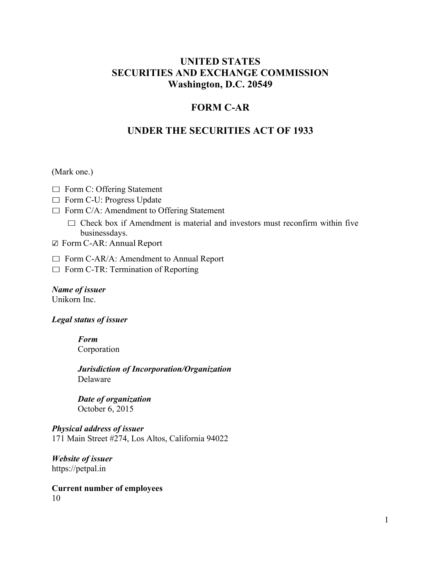# **UNITED STATES SECURITIES AND EXCHANGE COMMISSION Washington, D.C. 20549**

# **FORM C-AR**

# **UNDER THE SECURITIES ACT OF 1933**

#### (Mark one.)

- $\Box$  Form C: Offering Statement
- □ Form C-U: Progress Update
- $\Box$  Form C/A: Amendment to Offering Statement
	- $\Box$  Check box if Amendment is material and investors must reconfirm within five businessdays.
- $\boxtimes$  Form C-AR: Annual Report
- $\Box$  Form C-AR/A: Amendment to Annual Report
- $\Box$  Form C-TR: Termination of Reporting

*Name of issuer* Unikorn Inc.

#### *Legal status of issuer*

*Form* Corporation

*Jurisdiction of Incorporation/Organization* Delaware

*Date of organization* October 6, 2015

# *Physical address of issuer*

171 Main Street #274, Los Altos, California 94022

*Website of issuer* https://petpal.in

**Current number of employees** 10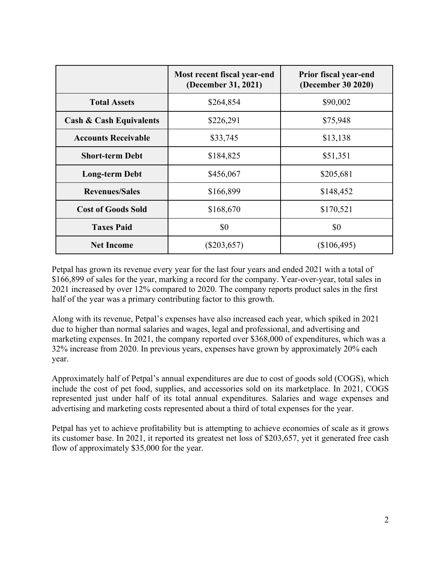|                                    | Most recent fiscal year-end<br>(December 31, 2021) | Prior fiscal year-end<br>(December 30 2020) |
|------------------------------------|----------------------------------------------------|---------------------------------------------|
| <b>Total Assets</b>                | \$264,854                                          | \$90,002                                    |
| <b>Cash &amp; Cash Equivalents</b> | \$226,291                                          | \$75,948                                    |
| <b>Accounts Receivable</b>         | \$33,745                                           | \$13,138                                    |
| <b>Short-term Debt</b>             | \$184,825                                          | \$51,351                                    |
| <b>Long-term Debt</b>              | \$456,067                                          | \$205,681                                   |
| <b>Revenues/Sales</b>              | \$166,899                                          | \$148,452                                   |
| <b>Cost of Goods Sold</b>          | \$168,670                                          | \$170,521                                   |
| <b>Taxes Paid</b>                  | \$0                                                | \$0                                         |
| <b>Net Income</b>                  | $(\$203,657)$                                      | (\$106,495)                                 |

Petpal has grown its revenue every year for the last four years and ended 2021 with a total of \$166,899 of sales for the year, marking a record for the company. Year-over-year, total sales in 2021 increased by over 12% compared to 2020. The company reports product sales in the first half of the year was a primary contributing factor to this growth.

Along with its revenue, Petpal's expenses have also increased each year, which spiked in 2021 due to higher than normal salaries and wages, legal and professional, and advertising and marketing expenses. In 2021, the company reported over \$368,000 of expenditures, which was a 32% increase from 2020. In previous years, expenses have grown by approximately 20% each year.

Approximately half of Petpal's annual expenditures are due to cost of goods sold (COGS), which include the cost of pet food, supplies, and accessories sold on its marketplace. In 2021, COGS represented just under half of its total annual expenditures. Salaries and wage expenses and advertising and marketing costs represented about a third of total expenses for the year.

Petpal has yet to achieve profitability but is attempting to achieve economies of scale as it grows its customer base. In 2021, it reported its greatest net loss of \$203,657, yet it generated free cash flow of approximately \$35,000 for the year.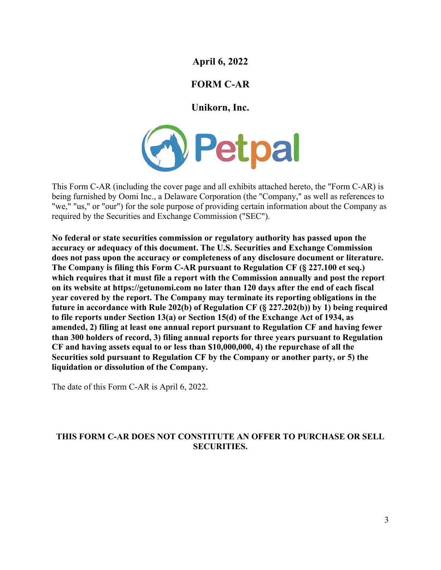# **April 6, 2022**

# **FORM C-AR**

# **Unikorn, Inc.**



This Form C-AR (including the cover page and all exhibits attached hereto, the "Form C-AR) is being furnished by Oomi Inc., a Delaware Corporation (the "Company," as well as references to "we," "us," or "our") for the sole purpose of providing certain information about the Company as required by the Securities and Exchange Commission ("SEC").

**No federal or state securities commission or regulatory authority has passed upon the accuracy or adequacy of this document. The U.S. Securities and Exchange Commission does not pass upon the accuracy or completeness of any disclosure document or literature. The Company is filing this Form C-AR pursuant to Regulation CF (§ 227.100 et seq.) which requires that it must file a report with the Commission annually and post the report on its website at https://getunomi.com no later than 120 days after the end of each fiscal year covered by the report. The Company may terminate its reporting obligations in the future in accordance with Rule 202(b) of Regulation CF (§ 227.202(b)) by 1) being required to file reports under Section 13(a) or Section 15(d) of the Exchange Act of 1934, as amended, 2) filing at least one annual report pursuant to Regulation CF and having fewer than 300 holders of record, 3) filing annual reports for three years pursuant to Regulation CF and having assets equal to or less than \$10,000,000, 4) the repurchase of all the Securities sold pursuant to Regulation CF by the Company or another party, or 5) the liquidation or dissolution of the Company.**

The date of this Form C-AR is April 6, 2022.

# **THIS FORM C-AR DOES NOT CONSTITUTE AN OFFER TO PURCHASE OR SELL SECURITIES.**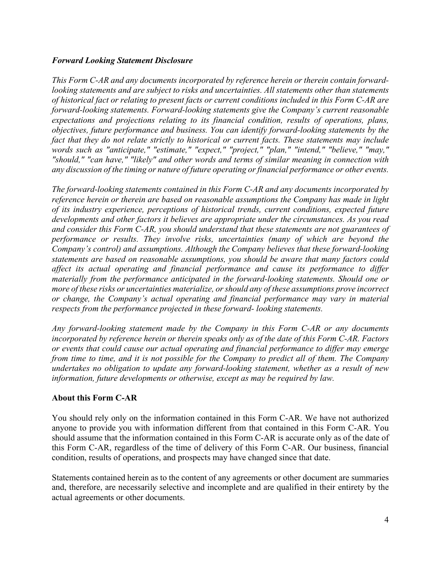### *Forward Looking Statement Disclosure*

*This Form C-AR and any documents incorporated by reference herein or therein contain forwardlooking statements and are subject to risks and uncertainties. All statements other than statements of historical fact or relating to present facts or current conditions included in this Form C-AR are forward-looking statements. Forward-looking statements give the Company's current reasonable expectations and projections relating to its financial condition, results of operations, plans, objectives, future performance and business. You can identify forward-looking statements by the fact that they do not relate strictly to historical or current facts. These statements may include words such as "anticipate," "estimate," "expect," "project," "plan," "intend," "believe," "may," "should," "can have," "likely" and other words and terms of similar meaning in connection with any discussion of the timing or nature of future operating or financial performance or other events.*

*The forward-looking statements contained in this Form C-AR and any documents incorporated by reference herein or therein are based on reasonable assumptions the Company has made in light of its industry experience, perceptions of historical trends, current conditions, expected future developments and other factors it believes are appropriate under the circumstances. As you read and consider this Form C-AR, you should understand that these statements are not guarantees of performance or results. They involve risks, uncertainties (many of which are beyond the Company's control) and assumptions. Although the Company believes that these forward-looking statements are based on reasonable assumptions, you should be aware that many factors could affect its actual operating and financial performance and cause its performance to differ materially from the performance anticipated in the forward-looking statements. Should one or more of these risks or uncertainties materialize, or should any of these assumptions prove incorrect or change, the Company's actual operating and financial performance may vary in material respects from the performance projected in these forward- looking statements.*

*Any forward-looking statement made by the Company in this Form C-AR or any documents incorporated by reference herein or therein speaks only as of the date of this Form C-AR. Factors or events that could cause our actual operating and financial performance to differ may emerge from time to time, and it is not possible for the Company to predict all of them. The Company undertakes no obligation to update any forward-looking statement, whether as a result of new information, future developments or otherwise, except as may be required by law.*

#### **About this Form C-AR**

You should rely only on the information contained in this Form C-AR. We have not authorized anyone to provide you with information different from that contained in this Form C-AR. You should assume that the information contained in this Form C-AR is accurate only as of the date of this Form C-AR, regardless of the time of delivery of this Form C-AR. Our business, financial condition, results of operations, and prospects may have changed since that date.

Statements contained herein as to the content of any agreements or other document are summaries and, therefore, are necessarily selective and incomplete and are qualified in their entirety by the actual agreements or other documents.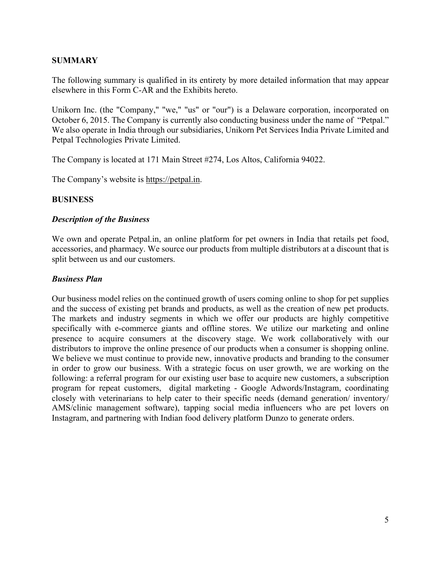# **SUMMARY**

The following summary is qualified in its entirety by more detailed information that may appear elsewhere in this Form C-AR and the Exhibits hereto.

Unikorn Inc. (the "Company," "we," "us" or "our") is a Delaware corporation, incorporated on October 6, 2015. The Company is currently also conducting business under the name of "Petpal." We also operate in India through our subsidiaries, Unikorn Pet Services India Private Limited and Petpal Technologies Private Limited.

The Company is located at 171 Main Street #274, Los Altos, California 94022.

The Company's website is https://petpal.in.

### **BUSINESS**

### *Description of the Business*

We own and operate Petpal.in, an online platform for pet owners in India that retails pet food, accessories, and pharmacy. We source our products from multiple distributors at a discount that is split between us and our customers.

### *Business Plan*

Our business model relies on the continued growth of users coming online to shop for pet supplies and the success of existing pet brands and products, as well as the creation of new pet products. The markets and industry segments in which we offer our products are highly competitive specifically with e-commerce giants and offline stores. We utilize our marketing and online presence to acquire consumers at the discovery stage. We work collaboratively with our distributors to improve the online presence of our products when a consumer is shopping online. We believe we must continue to provide new, innovative products and branding to the consumer in order to grow our business. With a strategic focus on user growth, we are working on the following: a referral program for our existing user base to acquire new customers, a subscription program for repeat customers, digital marketing - Google Adwords/Instagram, coordinating closely with veterinarians to help cater to their specific needs (demand generation/ inventory/ AMS/clinic management software), tapping social media influencers who are pet lovers on Instagram, and partnering with Indian food delivery platform Dunzo to generate orders.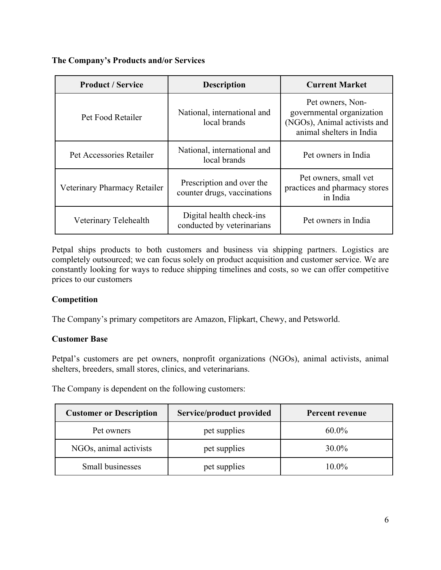**The Company's Products and/or Services** 

| <b>Product / Service</b>     | <b>Description</b>                                       | <b>Current Market</b>                                                                                     |
|------------------------------|----------------------------------------------------------|-----------------------------------------------------------------------------------------------------------|
| Pet Food Retailer            | National, international and<br>local brands              | Pet owners, Non-<br>governmental organization<br>(NGOs), Animal activists and<br>animal shelters in India |
| Pet Accessories Retailer     | National, international and<br>local brands              | Pet owners in India                                                                                       |
| Veterinary Pharmacy Retailer | Prescription and over the<br>counter drugs, vaccinations | Pet owners, small vet<br>practices and pharmacy stores<br>in India                                        |
| Veterinary Telehealth        | Digital health check-ins<br>conducted by veterinarians   | Pet owners in India                                                                                       |

Petpal ships products to both customers and business via shipping partners. Logistics are completely outsourced; we can focus solely on product acquisition and customer service. We are constantly looking for ways to reduce shipping timelines and costs, so we can offer competitive prices to our customers

# **Competition**

The Company's primary competitors are Amazon, Flipkart, Chewy, and Petsworld.

# **Customer Base**

Petpal's customers are pet owners, nonprofit organizations (NGOs), animal activists, animal shelters, breeders, small stores, clinics, and veterinarians.

The Company is dependent on the following customers:

| <b>Customer or Description</b> | Service/product provided | Percent revenue |
|--------------------------------|--------------------------|-----------------|
| Pet owners                     | pet supplies             | $60.0\%$        |
| NGOs, animal activists         | pet supplies             | $30.0\%$        |
| Small businesses               | pet supplies             | 10.0%           |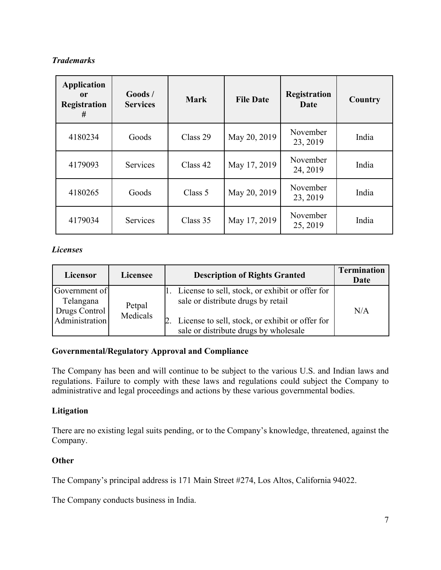# *Trademarks*

| <b>Application</b><br><sub>or</sub><br><b>Registration</b><br># | $\boldsymbol{\mathrm{Goods}}$ /<br><b>Services</b> | <b>Mark</b> | <b>File Date</b> | <b>Registration</b><br>Date | Country |
|-----------------------------------------------------------------|----------------------------------------------------|-------------|------------------|-----------------------------|---------|
| 4180234                                                         | Goods                                              | Class 29    | May 20, 2019     | November<br>23, 2019        | India   |
| 4179093                                                         | Services                                           | Class 42    | May 17, 2019     | November<br>24, 2019        | India   |
| 4180265                                                         | Goods                                              | Class 5     | May 20, 2019     | November<br>23, 2019        | India   |
| 4179034                                                         | Services                                           | Class 35    | May 17, 2019     | November<br>25, 2019        | India   |

# *Licenses*

| Licensor                                                      | Licensee           | <b>Description of Rights Granted</b>                                                                                                                                              | <b>Termination</b><br>Date |
|---------------------------------------------------------------|--------------------|-----------------------------------------------------------------------------------------------------------------------------------------------------------------------------------|----------------------------|
| Government of<br>Telangana<br>Drugs Control<br>Administration | Petpal<br>Medicals | License to sell, stock, or exhibit or offer for<br>sale or distribute drugs by retail<br>License to sell, stock, or exhibit or offer for<br>sale or distribute drugs by wholesale | N/A                        |

# **Governmental/Regulatory Approval and Compliance**

The Company has been and will continue to be subject to the various U.S. and Indian laws and regulations. Failure to comply with these laws and regulations could subject the Company to administrative and legal proceedings and actions by these various governmental bodies.

# **Litigation**

There are no existing legal suits pending, or to the Company's knowledge, threatened, against the Company.

#### **Other**

The Company's principal address is 171 Main Street #274, Los Altos, California 94022.

The Company conducts business in India.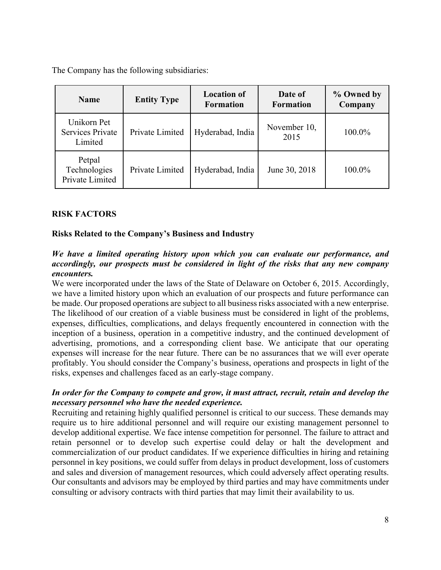The Company has the following subsidiaries:

| <b>Name</b>                                       | <b>Entity Type</b> | <b>Location of</b><br><b>Formation</b> | Date of<br><b>Formation</b> | % Owned by<br>Company |
|---------------------------------------------------|--------------------|----------------------------------------|-----------------------------|-----------------------|
| Unikorn Pet<br><b>Services Private</b><br>Limited | Private Limited    | Hyderabad, India                       | November 10,<br>2015        | 100.0%                |
| Petpal<br>Technologies<br>Private Limited         | Private Limited    | Hyderabad, India                       | June 30, 2018               | 100.0%                |

# **RISK FACTORS**

### **Risks Related to the Company's Business and Industry**

### *We have a limited operating history upon which you can evaluate our performance, and accordingly, our prospects must be considered in light of the risks that any new company encounters.*

We were incorporated under the laws of the State of Delaware on October 6, 2015. Accordingly, we have a limited history upon which an evaluation of our prospects and future performance can be made. Our proposed operations are subject to all business risks associated with a new enterprise. The likelihood of our creation of a viable business must be considered in light of the problems, expenses, difficulties, complications, and delays frequently encountered in connection with the inception of a business, operation in a competitive industry, and the continued development of advertising, promotions, and a corresponding client base. We anticipate that our operating expenses will increase for the near future. There can be no assurances that we will ever operate profitably. You should consider the Company's business, operations and prospects in light of the risks, expenses and challenges faced as an early-stage company.

### *In order for the Company to compete and grow, it must attract, recruit, retain and develop the necessary personnel who have the needed experience.*

Recruiting and retaining highly qualified personnel is critical to our success. These demands may require us to hire additional personnel and will require our existing management personnel to develop additional expertise. We face intense competition for personnel. The failure to attract and retain personnel or to develop such expertise could delay or halt the development and commercialization of our product candidates. If we experience difficulties in hiring and retaining personnel in key positions, we could suffer from delays in product development, loss of customers and sales and diversion of management resources, which could adversely affect operating results. Our consultants and advisors may be employed by third parties and may have commitments under consulting or advisory contracts with third parties that may limit their availability to us.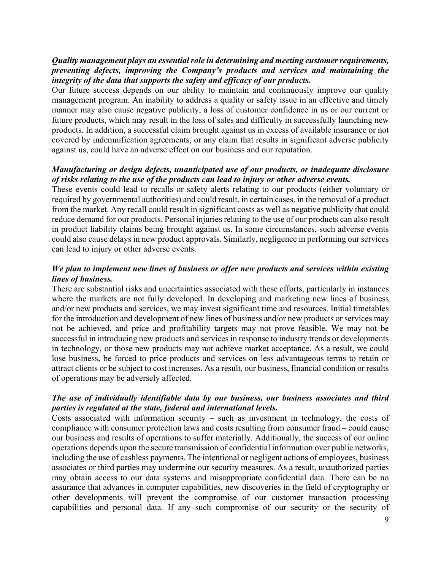### *Quality management plays an essential role in determining and meeting customer requirements, preventing defects, improving the Company's products and services and maintaining the integrity of the data that supports the safety and efficacy of our products.*

Our future success depends on our ability to maintain and continuously improve our quality management program. An inability to address a quality or safety issue in an effective and timely manner may also cause negative publicity, a loss of customer confidence in us or our current or future products, which may result in the loss of sales and difficulty in successfully launching new products. In addition, a successful claim brought against us in excess of available insurance or not covered by indemnification agreements, or any claim that results in significant adverse publicity against us, could have an adverse effect on our business and our reputation.

### *Manufacturing or design defects, unanticipated use of our products, or inadequate disclosure of risks relating to the use of the products can lead to injury or other adverse events.*

These events could lead to recalls or safety alerts relating to our products (either voluntary or required by governmental authorities) and could result, in certain cases, in the removal of a product from the market. Any recall could result in significant costs as well as negative publicity that could reduce demand for our products. Personal injuries relating to the use of our products can also result in product liability claims being brought against us. In some circumstances, such adverse events could also cause delays in new product approvals. Similarly, negligence in performing our services can lead to injury or other adverse events.

# *We plan to implement new lines of business or offer new products and services within existing lines of business.*

There are substantial risks and uncertainties associated with these efforts, particularly in instances where the markets are not fully developed. In developing and marketing new lines of business and/or new products and services, we may invest significant time and resources. Initial timetables for the introduction and development of new lines of business and/or new products or services may not be achieved, and price and profitability targets may not prove feasible. We may not be successful in introducing new products and services in response to industry trends or developments in technology, or those new products may not achieve market acceptance. As a result, we could lose business, be forced to price products and services on less advantageous terms to retain or attract clients or be subject to cost increases. As a result, our business, financial condition or results of operations may be adversely affected.

### *The use of individually identifiable data by our business, our business associates and third parties is regulated at the state, federal and international levels.*

Costs associated with information security – such as investment in technology, the costs of compliance with consumer protection laws and costs resulting from consumer fraud – could cause our business and results of operations to suffer materially. Additionally, the success of our online operations depends upon the secure transmission of confidential information over public networks, including the use of cashless payments. The intentional or negligent actions of employees, business associates or third parties may undermine our security measures. As a result, unauthorized parties may obtain access to our data systems and misappropriate confidential data. There can be no assurance that advances in computer capabilities, new discoveries in the field of cryptography or other developments will prevent the compromise of our customer transaction processing capabilities and personal data. If any such compromise of our security or the security of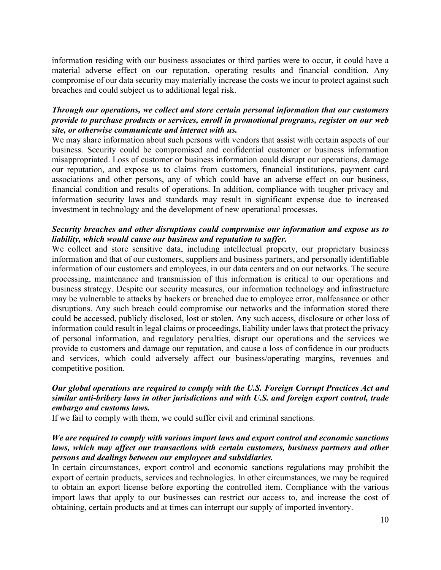information residing with our business associates or third parties were to occur, it could have a material adverse effect on our reputation, operating results and financial condition. Any compromise of our data security may materially increase the costs we incur to protect against such breaches and could subject us to additional legal risk.

### *Through our operations, we collect and store certain personal information that our customers provide to purchase products or services, enroll in promotional programs, register on our web site, or otherwise communicate and interact with us.*

We may share information about such persons with vendors that assist with certain aspects of our business. Security could be compromised and confidential customer or business information misappropriated. Loss of customer or business information could disrupt our operations, damage our reputation, and expose us to claims from customers, financial institutions, payment card associations and other persons, any of which could have an adverse effect on our business, financial condition and results of operations. In addition, compliance with tougher privacy and information security laws and standards may result in significant expense due to increased investment in technology and the development of new operational processes.

### *Security breaches and other disruptions could compromise our information and expose us to liability, which would cause our business and reputation to suffer.*

We collect and store sensitive data, including intellectual property, our proprietary business information and that of our customers, suppliers and business partners, and personally identifiable information of our customers and employees, in our data centers and on our networks. The secure processing, maintenance and transmission of this information is critical to our operations and business strategy. Despite our security measures, our information technology and infrastructure may be vulnerable to attacks by hackers or breached due to employee error, malfeasance or other disruptions. Any such breach could compromise our networks and the information stored there could be accessed, publicly disclosed, lost or stolen. Any such access, disclosure or other loss of information could result in legal claims or proceedings, liability under laws that protect the privacy of personal information, and regulatory penalties, disrupt our operations and the services we provide to customers and damage our reputation, and cause a loss of confidence in our products and services, which could adversely affect our business/operating margins, revenues and competitive position.

# *Our global operations are required to comply with the U.S. Foreign Corrupt Practices Act and similar anti-bribery laws in other jurisdictions and with U.S. and foreign export control, trade embargo and customs laws.*

If we fail to comply with them, we could suffer civil and criminal sanctions.

### *We are required to comply with various import laws and export control and economic sanctions laws, which may affect our transactions with certain customers, business partners and other persons and dealings between our employees and subsidiaries.*

In certain circumstances, export control and economic sanctions regulations may prohibit the export of certain products, services and technologies. In other circumstances, we may be required to obtain an export license before exporting the controlled item. Compliance with the various import laws that apply to our businesses can restrict our access to, and increase the cost of obtaining, certain products and at times can interrupt our supply of imported inventory.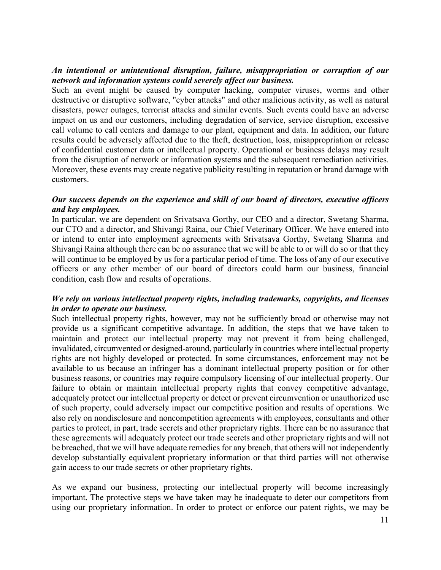### *An intentional or unintentional disruption, failure, misappropriation or corruption of our network and information systems could severely affect our business.*

Such an event might be caused by computer hacking, computer viruses, worms and other destructive or disruptive software, "cyber attacks" and other malicious activity, as well as natural disasters, power outages, terrorist attacks and similar events. Such events could have an adverse impact on us and our customers, including degradation of service, service disruption, excessive call volume to call centers and damage to our plant, equipment and data. In addition, our future results could be adversely affected due to the theft, destruction, loss, misappropriation or release of confidential customer data or intellectual property. Operational or business delays may result from the disruption of network or information systems and the subsequent remediation activities. Moreover, these events may create negative publicity resulting in reputation or brand damage with customers.

### *Our success depends on the experience and skill of our board of directors, executive officers and key employees.*

In particular, we are dependent on Srivatsava Gorthy, our CEO and a director, Swetang Sharma, our CTO and a director, and Shivangi Raina, our Chief Veterinary Officer. We have entered into or intend to enter into employment agreements with Srivatsava Gorthy, Swetang Sharma and Shivangi Raina although there can be no assurance that we will be able to or will do so or that they will continue to be employed by us for a particular period of time. The loss of any of our executive officers or any other member of our board of directors could harm our business, financial condition, cash flow and results of operations.

### *We rely on various intellectual property rights, including trademarks, copyrights, and licenses in order to operate our business.*

Such intellectual property rights, however, may not be sufficiently broad or otherwise may not provide us a significant competitive advantage. In addition, the steps that we have taken to maintain and protect our intellectual property may not prevent it from being challenged, invalidated, circumvented or designed-around, particularly in countries where intellectual property rights are not highly developed or protected. In some circumstances, enforcement may not be available to us because an infringer has a dominant intellectual property position or for other business reasons, or countries may require compulsory licensing of our intellectual property. Our failure to obtain or maintain intellectual property rights that convey competitive advantage, adequately protect our intellectual property or detect or prevent circumvention or unauthorized use of such property, could adversely impact our competitive position and results of operations. We also rely on nondisclosure and noncompetition agreements with employees, consultants and other parties to protect, in part, trade secrets and other proprietary rights. There can be no assurance that these agreements will adequately protect our trade secrets and other proprietary rights and will not be breached, that we will have adequate remedies for any breach, that others will not independently develop substantially equivalent proprietary information or that third parties will not otherwise gain access to our trade secrets or other proprietary rights.

As we expand our business, protecting our intellectual property will become increasingly important. The protective steps we have taken may be inadequate to deter our competitors from using our proprietary information. In order to protect or enforce our patent rights, we may be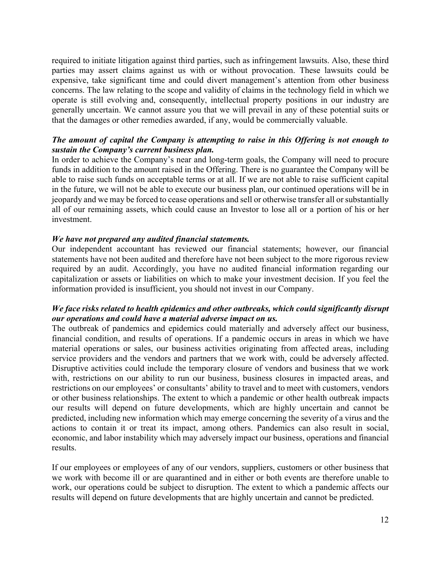required to initiate litigation against third parties, such as infringement lawsuits. Also, these third parties may assert claims against us with or without provocation. These lawsuits could be expensive, take significant time and could divert management's attention from other business concerns. The law relating to the scope and validity of claims in the technology field in which we operate is still evolving and, consequently, intellectual property positions in our industry are generally uncertain. We cannot assure you that we will prevail in any of these potential suits or that the damages or other remedies awarded, if any, would be commercially valuable.

### *The amount of capital the Company is attempting to raise in this Offering is not enough to sustain the Company's current business plan.*

In order to achieve the Company's near and long-term goals, the Company will need to procure funds in addition to the amount raised in the Offering. There is no guarantee the Company will be able to raise such funds on acceptable terms or at all. If we are not able to raise sufficient capital in the future, we will not be able to execute our business plan, our continued operations will be in jeopardy and we may be forced to cease operations and sell or otherwise transfer all or substantially all of our remaining assets, which could cause an Investor to lose all or a portion of his or her investment.

#### *We have not prepared any audited financial statements.*

Our independent accountant has reviewed our financial statements; however, our financial statements have not been audited and therefore have not been subject to the more rigorous review required by an audit. Accordingly, you have no audited financial information regarding our capitalization or assets or liabilities on which to make your investment decision. If you feel the information provided is insufficient, you should not invest in our Company.

### *We face risks related to health epidemics and other outbreaks, which could significantly disrupt our operations and could have a material adverse impact on us.*

The outbreak of pandemics and epidemics could materially and adversely affect our business, financial condition, and results of operations. If a pandemic occurs in areas in which we have material operations or sales, our business activities originating from affected areas, including service providers and the vendors and partners that we work with, could be adversely affected. Disruptive activities could include the temporary closure of vendors and business that we work with, restrictions on our ability to run our business, business closures in impacted areas, and restrictions on our employees' or consultants' ability to travel and to meet with customers, vendors or other business relationships. The extent to which a pandemic or other health outbreak impacts our results will depend on future developments, which are highly uncertain and cannot be predicted, including new information which may emerge concerning the severity of a virus and the actions to contain it or treat its impact, among others. Pandemics can also result in social, economic, and labor instability which may adversely impact our business, operations and financial results.

If our employees or employees of any of our vendors, suppliers, customers or other business that we work with become ill or are quarantined and in either or both events are therefore unable to work, our operations could be subject to disruption. The extent to which a pandemic affects our results will depend on future developments that are highly uncertain and cannot be predicted.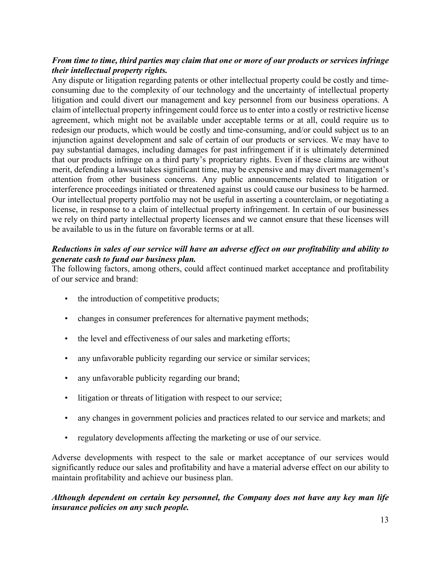# *From time to time, third parties may claim that one or more of our products or services infringe their intellectual property rights.*

Any dispute or litigation regarding patents or other intellectual property could be costly and timeconsuming due to the complexity of our technology and the uncertainty of intellectual property litigation and could divert our management and key personnel from our business operations. A claim of intellectual property infringement could force us to enter into a costly or restrictive license agreement, which might not be available under acceptable terms or at all, could require us to redesign our products, which would be costly and time-consuming, and/or could subject us to an injunction against development and sale of certain of our products or services. We may have to pay substantial damages, including damages for past infringement if it is ultimately determined that our products infringe on a third party's proprietary rights. Even if these claims are without merit, defending a lawsuit takes significant time, may be expensive and may divert management's attention from other business concerns. Any public announcements related to litigation or interference proceedings initiated or threatened against us could cause our business to be harmed. Our intellectual property portfolio may not be useful in asserting a counterclaim, or negotiating a license, in response to a claim of intellectual property infringement. In certain of our businesses we rely on third party intellectual property licenses and we cannot ensure that these licenses will be available to us in the future on favorable terms or at all.

# *Reductions in sales of our service will have an adverse effect on our profitability and ability to generate cash to fund our business plan.*

The following factors, among others, could affect continued market acceptance and profitability of our service and brand:

- the introduction of competitive products;
- changes in consumer preferences for alternative payment methods;
- the level and effectiveness of our sales and marketing efforts;
- any unfavorable publicity regarding our service or similar services;
- any unfavorable publicity regarding our brand;
- litigation or threats of litigation with respect to our service;
- any changes in government policies and practices related to our service and markets; and
- regulatory developments affecting the marketing or use of our service.

Adverse developments with respect to the sale or market acceptance of our services would significantly reduce our sales and profitability and have a material adverse effect on our ability to maintain profitability and achieve our business plan.

# *Although dependent on certain key personnel, the Company does not have any key man life insurance policies on any such people.*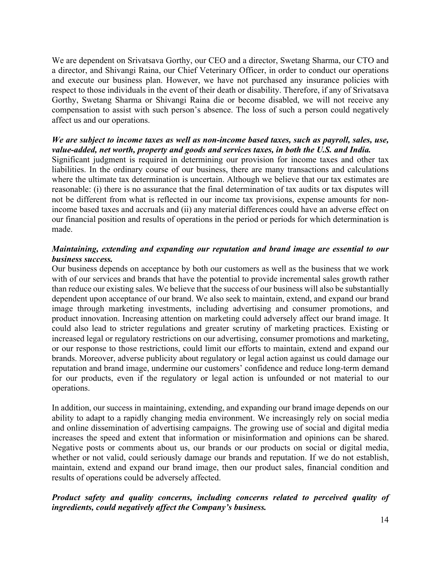We are dependent on Srivatsava Gorthy, our CEO and a director, Swetang Sharma, our CTO and a director, and Shivangi Raina, our Chief Veterinary Officer, in order to conduct our operations and execute our business plan. However, we have not purchased any insurance policies with respect to those individuals in the event of their death or disability. Therefore, if any of Srivatsava Gorthy, Swetang Sharma or Shivangi Raina die or become disabled, we will not receive any compensation to assist with such person's absence. The loss of such a person could negatively affect us and our operations.

# *We are subject to income taxes as well as non-income based taxes, such as payroll, sales, use, value-added, net worth, property and goods and services taxes, in both the U.S. and India.*

Significant judgment is required in determining our provision for income taxes and other tax liabilities. In the ordinary course of our business, there are many transactions and calculations where the ultimate tax determination is uncertain. Although we believe that our tax estimates are reasonable: (i) there is no assurance that the final determination of tax audits or tax disputes will not be different from what is reflected in our income tax provisions, expense amounts for nonincome based taxes and accruals and (ii) any material differences could have an adverse effect on our financial position and results of operations in the period or periods for which determination is made.

### *Maintaining, extending and expanding our reputation and brand image are essential to our business success.*

Our business depends on acceptance by both our customers as well as the business that we work with of our services and brands that have the potential to provide incremental sales growth rather than reduce our existing sales. We believe that the success of our business will also be substantially dependent upon acceptance of our brand. We also seek to maintain, extend, and expand our brand image through marketing investments, including advertising and consumer promotions, and product innovation. Increasing attention on marketing could adversely affect our brand image. It could also lead to stricter regulations and greater scrutiny of marketing practices. Existing or increased legal or regulatory restrictions on our advertising, consumer promotions and marketing, or our response to those restrictions, could limit our efforts to maintain, extend and expand our brands. Moreover, adverse publicity about regulatory or legal action against us could damage our reputation and brand image, undermine our customers' confidence and reduce long-term demand for our products, even if the regulatory or legal action is unfounded or not material to our operations.

In addition, our success in maintaining, extending, and expanding our brand image depends on our ability to adapt to a rapidly changing media environment. We increasingly rely on social media and online dissemination of advertising campaigns. The growing use of social and digital media increases the speed and extent that information or misinformation and opinions can be shared. Negative posts or comments about us, our brands or our products on social or digital media, whether or not valid, could seriously damage our brands and reputation. If we do not establish, maintain, extend and expand our brand image, then our product sales, financial condition and results of operations could be adversely affected.

### *Product safety and quality concerns, including concerns related to perceived quality of ingredients, could negatively affect the Company's business.*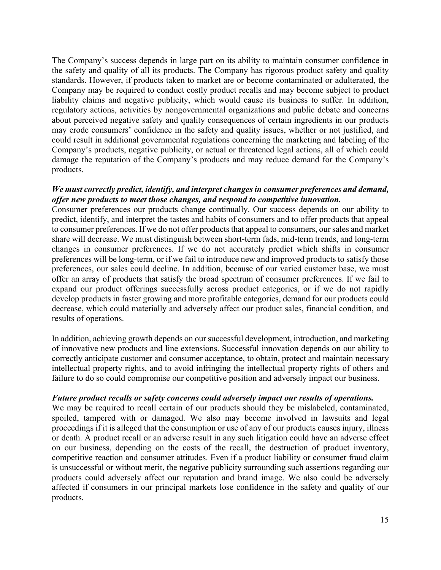The Company's success depends in large part on its ability to maintain consumer confidence in the safety and quality of all its products. The Company has rigorous product safety and quality standards. However, if products taken to market are or become contaminated or adulterated, the Company may be required to conduct costly product recalls and may become subject to product liability claims and negative publicity, which would cause its business to suffer. In addition, regulatory actions, activities by nongovernmental organizations and public debate and concerns about perceived negative safety and quality consequences of certain ingredients in our products may erode consumers' confidence in the safety and quality issues, whether or not justified, and could result in additional governmental regulations concerning the marketing and labeling of the Company's products, negative publicity, or actual or threatened legal actions, all of which could damage the reputation of the Company's products and may reduce demand for the Company's products.

#### *We must correctly predict, identify, and interpret changes in consumer preferences and demand, offer new products to meet those changes, and respond to competitive innovation.*

Consumer preferences our products change continually. Our success depends on our ability to predict, identify, and interpret the tastes and habits of consumers and to offer products that appeal to consumer preferences. If we do not offer products that appeal to consumers, our sales and market share will decrease. We must distinguish between short-term fads, mid-term trends, and long-term changes in consumer preferences. If we do not accurately predict which shifts in consumer preferences will be long-term, or if we fail to introduce new and improved products to satisfy those preferences, our sales could decline. In addition, because of our varied customer base, we must offer an array of products that satisfy the broad spectrum of consumer preferences. If we fail to expand our product offerings successfully across product categories, or if we do not rapidly develop products in faster growing and more profitable categories, demand for our products could decrease, which could materially and adversely affect our product sales, financial condition, and results of operations.

In addition, achieving growth depends on our successful development, introduction, and marketing of innovative new products and line extensions. Successful innovation depends on our ability to correctly anticipate customer and consumer acceptance, to obtain, protect and maintain necessary intellectual property rights, and to avoid infringing the intellectual property rights of others and failure to do so could compromise our competitive position and adversely impact our business.

#### *Future product recalls or safety concerns could adversely impact our results of operations.*

We may be required to recall certain of our products should they be mislabeled, contaminated, spoiled, tampered with or damaged. We also may become involved in lawsuits and legal proceedings if it is alleged that the consumption or use of any of our products causes injury, illness or death. A product recall or an adverse result in any such litigation could have an adverse effect on our business, depending on the costs of the recall, the destruction of product inventory, competitive reaction and consumer attitudes. Even if a product liability or consumer fraud claim is unsuccessful or without merit, the negative publicity surrounding such assertions regarding our products could adversely affect our reputation and brand image. We also could be adversely affected if consumers in our principal markets lose confidence in the safety and quality of our products.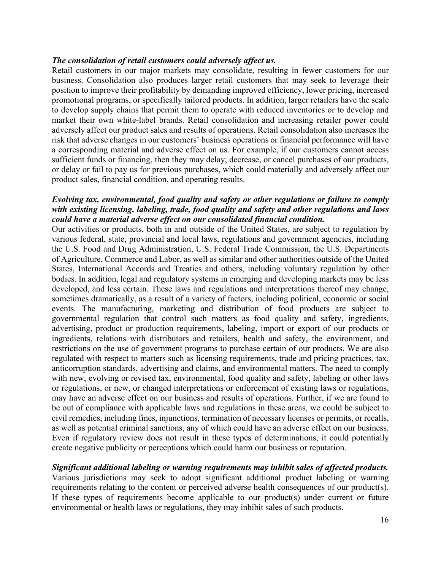#### *The consolidation of retail customers could adversely affect us.*

Retail customers in our major markets may consolidate, resulting in fewer customers for our business. Consolidation also produces larger retail customers that may seek to leverage their position to improve their profitability by demanding improved efficiency, lower pricing, increased promotional programs, or specifically tailored products. In addition, larger retailers have the scale to develop supply chains that permit them to operate with reduced inventories or to develop and market their own white-label brands. Retail consolidation and increasing retailer power could adversely affect our product sales and results of operations. Retail consolidation also increases the risk that adverse changes in our customers' business operations or financial performance will have a corresponding material and adverse effect on us. For example, if our customers cannot access sufficient funds or financing, then they may delay, decrease, or cancel purchases of our products, or delay or fail to pay us for previous purchases, which could materially and adversely affect our product sales, financial condition, and operating results.

#### *Evolving tax, environmental, food quality and safety or other regulations or failure to comply with existing licensing, labeling, trade, food quality and safety and other regulations and laws could have a material adverse effect on our consolidated financial condition.*

Our activities or products, both in and outside of the United States, are subject to regulation by various federal, state, provincial and local laws, regulations and government agencies, including the U.S. Food and Drug Administration, U.S. Federal Trade Commission, the U.S. Departments of Agriculture, Commerce and Labor, as well as similar and other authorities outside of the United States, International Accords and Treaties and others, including voluntary regulation by other bodies. In addition, legal and regulatory systems in emerging and developing markets may be less developed, and less certain. These laws and regulations and interpretations thereof may change, sometimes dramatically, as a result of a variety of factors, including political, economic or social events. The manufacturing, marketing and distribution of food products are subject to governmental regulation that control such matters as food quality and safety, ingredients, advertising, product or production requirements, labeling, import or export of our products or ingredients, relations with distributors and retailers, health and safety, the environment, and restrictions on the use of government programs to purchase certain of our products. We are also regulated with respect to matters such as licensing requirements, trade and pricing practices, tax, anticorruption standards, advertising and claims, and environmental matters. The need to comply with new, evolving or revised tax, environmental, food quality and safety, labeling or other laws or regulations, or new, or changed interpretations or enforcement of existing laws or regulations, may have an adverse effect on our business and results of operations. Further, if we are found to be out of compliance with applicable laws and regulations in these areas, we could be subject to civil remedies, including fines, injunctions, termination of necessary licenses or permits, or recalls, as well as potential criminal sanctions, any of which could have an adverse effect on our business. Even if regulatory review does not result in these types of determinations, it could potentially create negative publicity or perceptions which could harm our business or reputation.

#### *Significant additional labeling or warning requirements may inhibit sales of affected products.*

Various jurisdictions may seek to adopt significant additional product labeling or warning requirements relating to the content or perceived adverse health consequences of our product(s). If these types of requirements become applicable to our product(s) under current or future environmental or health laws or regulations, they may inhibit sales of such products.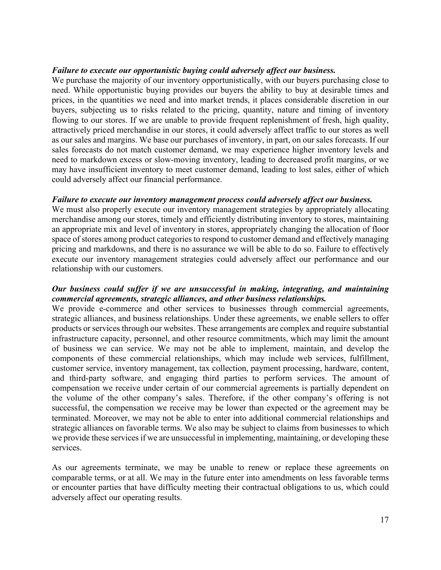#### *Failure to execute our opportunistic buying could adversely affect our business.*

We purchase the majority of our inventory opportunistically, with our buyers purchasing close to need. While opportunistic buying provides our buyers the ability to buy at desirable times and prices, in the quantities we need and into market trends, it places considerable discretion in our buyers, subjecting us to risks related to the pricing, quantity, nature and timing of inventory flowing to our stores. If we are unable to provide frequent replenishment of fresh, high quality, attractively priced merchandise in our stores, it could adversely affect traffic to our stores as well as our sales and margins. We base our purchases of inventory, in part, on our sales forecasts. If our sales forecasts do not match customer demand, we may experience higher inventory levels and need to markdown excess or slow-moving inventory, leading to decreased profit margins, or we may have insufficient inventory to meet customer demand, leading to lost sales, either of which could adversely affect our financial performance.

#### *Failure to execute our inventory management process could adversely affect our business.*

We must also properly execute our inventory management strategies by appropriately allocating merchandise among our stores, timely and efficiently distributing inventory to stores, maintaining an appropriate mix and level of inventory in stores, appropriately changing the allocation of floor space of stores among product categories to respond to customer demand and effectively managing pricing and markdowns, and there is no assurance we will be able to do so. Failure to effectively execute our inventory management strategies could adversely affect our performance and our relationship with our customers.

### *Our business could suffer if we are unsuccessful in making, integrating, and maintaining commercial agreements, strategic alliances, and other business relationships.*

We provide e-commerce and other services to businesses through commercial agreements, strategic alliances, and business relationships. Under these agreements, we enable sellers to offer products or services through our websites. These arrangements are complex and require substantial infrastructure capacity, personnel, and other resource commitments, which may limit the amount of business we can service. We may not be able to implement, maintain, and develop the components of these commercial relationships, which may include web services, fulfillment, customer service, inventory management, tax collection, payment processing, hardware, content, and third-party software, and engaging third parties to perform services. The amount of compensation we receive under certain of our commercial agreements is partially dependent on the volume of the other company's sales. Therefore, if the other company's offering is not successful, the compensation we receive may be lower than expected or the agreement may be terminated. Moreover, we may not be able to enter into additional commercial relationships and strategic alliances on favorable terms. We also may be subject to claims from businesses to which we provide these services if we are unsuccessful in implementing, maintaining, or developing these services.

As our agreements terminate, we may be unable to renew or replace these agreements on comparable terms, or at all. We may in the future enter into amendments on less favorable terms or encounter parties that have difficulty meeting their contractual obligations to us, which could adversely affect our operating results.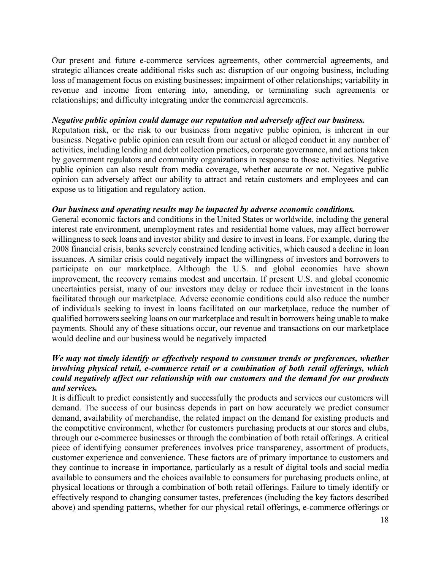Our present and future e-commerce services agreements, other commercial agreements, and strategic alliances create additional risks such as: disruption of our ongoing business, including loss of management focus on existing businesses; impairment of other relationships; variability in revenue and income from entering into, amending, or terminating such agreements or relationships; and difficulty integrating under the commercial agreements.

#### *Negative public opinion could damage our reputation and adversely affect our business.*

Reputation risk, or the risk to our business from negative public opinion, is inherent in our business. Negative public opinion can result from our actual or alleged conduct in any number of activities, including lending and debt collection practices, corporate governance, and actions taken by government regulators and community organizations in response to those activities. Negative public opinion can also result from media coverage, whether accurate or not. Negative public opinion can adversely affect our ability to attract and retain customers and employees and can expose us to litigation and regulatory action.

#### *Our business and operating results may be impacted by adverse economic conditions.*

General economic factors and conditions in the United States or worldwide, including the general interest rate environment, unemployment rates and residential home values, may affect borrower willingness to seek loans and investor ability and desire to invest in loans. For example, during the 2008 financial crisis, banks severely constrained lending activities, which caused a decline in loan issuances. A similar crisis could negatively impact the willingness of investors and borrowers to participate on our marketplace. Although the U.S. and global economies have shown improvement, the recovery remains modest and uncertain. If present U.S. and global economic uncertainties persist, many of our investors may delay or reduce their investment in the loans facilitated through our marketplace. Adverse economic conditions could also reduce the number of individuals seeking to invest in loans facilitated on our marketplace, reduce the number of qualified borrowers seeking loans on our marketplace and result in borrowers being unable to make payments. Should any of these situations occur, our revenue and transactions on our marketplace would decline and our business would be negatively impacted

### *We may not timely identify or effectively respond to consumer trends or preferences, whether involving physical retail, e-commerce retail or a combination of both retail offerings, which could negatively affect our relationship with our customers and the demand for our products and services.*

It is difficult to predict consistently and successfully the products and services our customers will demand. The success of our business depends in part on how accurately we predict consumer demand, availability of merchandise, the related impact on the demand for existing products and the competitive environment, whether for customers purchasing products at our stores and clubs, through our e-commerce businesses or through the combination of both retail offerings. A critical piece of identifying consumer preferences involves price transparency, assortment of products, customer experience and convenience. These factors are of primary importance to customers and they continue to increase in importance, particularly as a result of digital tools and social media available to consumers and the choices available to consumers for purchasing products online, at physical locations or through a combination of both retail offerings. Failure to timely identify or effectively respond to changing consumer tastes, preferences (including the key factors described above) and spending patterns, whether for our physical retail offerings, e-commerce offerings or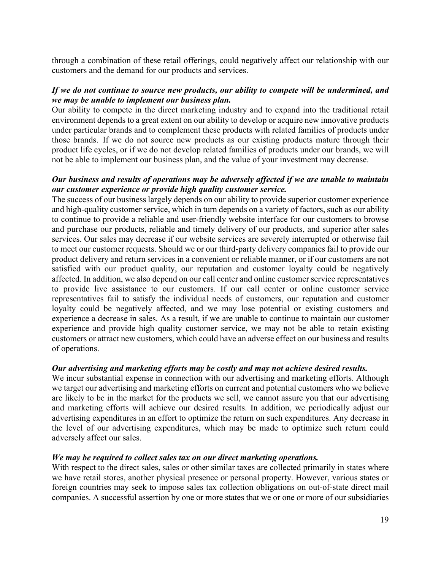through a combination of these retail offerings, could negatively affect our relationship with our customers and the demand for our products and services.

### *If we do not continue to source new products, our ability to compete will be undermined, and we may be unable to implement our business plan.*

Our ability to compete in the direct marketing industry and to expand into the traditional retail environment depends to a great extent on our ability to develop or acquire new innovative products under particular brands and to complement these products with related families of products under those brands. If we do not source new products as our existing products mature through their product life cycles, or if we do not develop related families of products under our brands, we will not be able to implement our business plan, and the value of your investment may decrease.

### *Our business and results of operations may be adversely affected if we are unable to maintain our customer experience or provide high quality customer service.*

The success of our business largely depends on our ability to provide superior customer experience and high-quality customer service, which in turn depends on a variety of factors, such as our ability to continue to provide a reliable and user-friendly website interface for our customers to browse and purchase our products, reliable and timely delivery of our products, and superior after sales services. Our sales may decrease if our website services are severely interrupted or otherwise fail to meet our customer requests. Should we or our third-party delivery companies fail to provide our product delivery and return services in a convenient or reliable manner, or if our customers are not satisfied with our product quality, our reputation and customer loyalty could be negatively affected. In addition, we also depend on our call center and online customer service representatives to provide live assistance to our customers. If our call center or online customer service representatives fail to satisfy the individual needs of customers, our reputation and customer loyalty could be negatively affected, and we may lose potential or existing customers and experience a decrease in sales. As a result, if we are unable to continue to maintain our customer experience and provide high quality customer service, we may not be able to retain existing customers or attract new customers, which could have an adverse effect on our business and results of operations.

#### *Our advertising and marketing efforts may be costly and may not achieve desired results.*

We incur substantial expense in connection with our advertising and marketing efforts. Although we target our advertising and marketing efforts on current and potential customers who we believe are likely to be in the market for the products we sell, we cannot assure you that our advertising and marketing efforts will achieve our desired results. In addition, we periodically adjust our advertising expenditures in an effort to optimize the return on such expenditures. Any decrease in the level of our advertising expenditures, which may be made to optimize such return could adversely affect our sales.

#### *We may be required to collect sales tax on our direct marketing operations.*

With respect to the direct sales, sales or other similar taxes are collected primarily in states where we have retail stores, another physical presence or personal property. However, various states or foreign countries may seek to impose sales tax collection obligations on out-of-state direct mail companies. A successful assertion by one or more states that we or one or more of our subsidiaries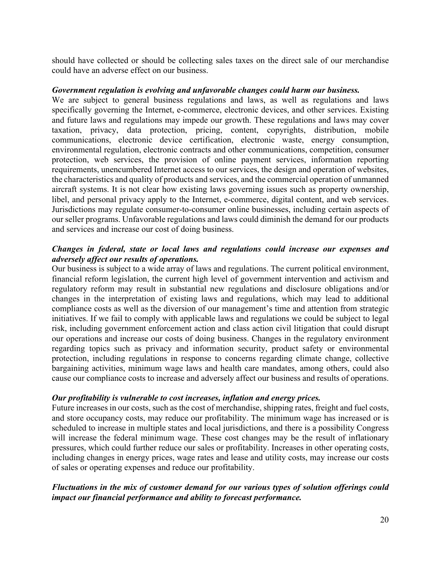should have collected or should be collecting sales taxes on the direct sale of our merchandise could have an adverse effect on our business.

#### *Government regulation is evolving and unfavorable changes could harm our business.*

We are subject to general business regulations and laws, as well as regulations and laws specifically governing the Internet, e-commerce, electronic devices, and other services. Existing and future laws and regulations may impede our growth. These regulations and laws may cover taxation, privacy, data protection, pricing, content, copyrights, distribution, mobile communications, electronic device certification, electronic waste, energy consumption, environmental regulation, electronic contracts and other communications, competition, consumer protection, web services, the provision of online payment services, information reporting requirements, unencumbered Internet access to our services, the design and operation of websites, the characteristics and quality of products and services, and the commercial operation of unmanned aircraft systems. It is not clear how existing laws governing issues such as property ownership, libel, and personal privacy apply to the Internet, e-commerce, digital content, and web services. Jurisdictions may regulate consumer-to-consumer online businesses, including certain aspects of our seller programs. Unfavorable regulations and laws could diminish the demand for our products and services and increase our cost of doing business.

### *Changes in federal, state or local laws and regulations could increase our expenses and adversely affect our results of operations.*

Our business is subject to a wide array of laws and regulations. The current political environment, financial reform legislation, the current high level of government intervention and activism and regulatory reform may result in substantial new regulations and disclosure obligations and/or changes in the interpretation of existing laws and regulations, which may lead to additional compliance costs as well as the diversion of our management's time and attention from strategic initiatives. If we fail to comply with applicable laws and regulations we could be subject to legal risk, including government enforcement action and class action civil litigation that could disrupt our operations and increase our costs of doing business. Changes in the regulatory environment regarding topics such as privacy and information security, product safety or environmental protection, including regulations in response to concerns regarding climate change, collective bargaining activities, minimum wage laws and health care mandates, among others, could also cause our compliance costs to increase and adversely affect our business and results of operations.

#### *Our profitability is vulnerable to cost increases, inflation and energy prices.*

Future increases in our costs, such as the cost of merchandise, shipping rates, freight and fuel costs, and store occupancy costs, may reduce our profitability. The minimum wage has increased or is scheduled to increase in multiple states and local jurisdictions, and there is a possibility Congress will increase the federal minimum wage. These cost changes may be the result of inflationary pressures, which could further reduce our sales or profitability. Increases in other operating costs, including changes in energy prices, wage rates and lease and utility costs, may increase our costs of sales or operating expenses and reduce our profitability.

# *Fluctuations in the mix of customer demand for our various types of solution offerings could impact our financial performance and ability to forecast performance.*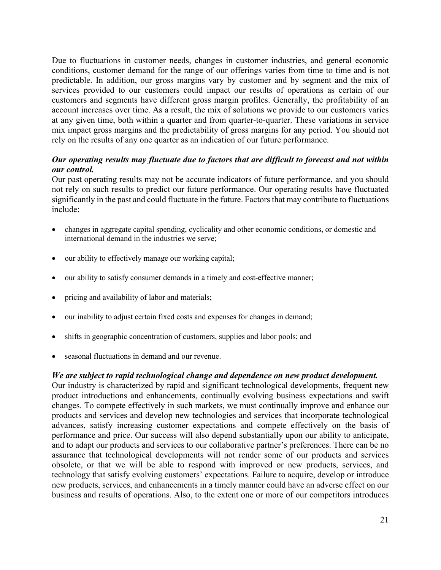Due to fluctuations in customer needs, changes in customer industries, and general economic conditions, customer demand for the range of our offerings varies from time to time and is not predictable. In addition, our gross margins vary by customer and by segment and the mix of services provided to our customers could impact our results of operations as certain of our customers and segments have different gross margin profiles. Generally, the profitability of an account increases over time. As a result, the mix of solutions we provide to our customers varies at any given time, both within a quarter and from quarter-to-quarter. These variations in service mix impact gross margins and the predictability of gross margins for any period. You should not rely on the results of any one quarter as an indication of our future performance.

### *Our operating results may fluctuate due to factors that are difficult to forecast and not within our control.*

Our past operating results may not be accurate indicators of future performance, and you should not rely on such results to predict our future performance. Our operating results have fluctuated significantly in the past and could fluctuate in the future. Factors that may contribute to fluctuations include:

- changes in aggregate capital spending, cyclicality and other economic conditions, or domestic and international demand in the industries we serve;
- our ability to effectively manage our working capital;
- our ability to satisfy consumer demands in a timely and cost-effective manner;
- pricing and availability of labor and materials;
- our inability to adjust certain fixed costs and expenses for changes in demand;
- shifts in geographic concentration of customers, supplies and labor pools; and
- seasonal fluctuations in demand and our revenue.

#### *We are subject to rapid technological change and dependence on new product development.*

Our industry is characterized by rapid and significant technological developments, frequent new product introductions and enhancements, continually evolving business expectations and swift changes. To compete effectively in such markets, we must continually improve and enhance our products and services and develop new technologies and services that incorporate technological advances, satisfy increasing customer expectations and compete effectively on the basis of performance and price. Our success will also depend substantially upon our ability to anticipate, and to adapt our products and services to our collaborative partner's preferences. There can be no assurance that technological developments will not render some of our products and services obsolete, or that we will be able to respond with improved or new products, services, and technology that satisfy evolving customers' expectations. Failure to acquire, develop or introduce new products, services, and enhancements in a timely manner could have an adverse effect on our business and results of operations. Also, to the extent one or more of our competitors introduces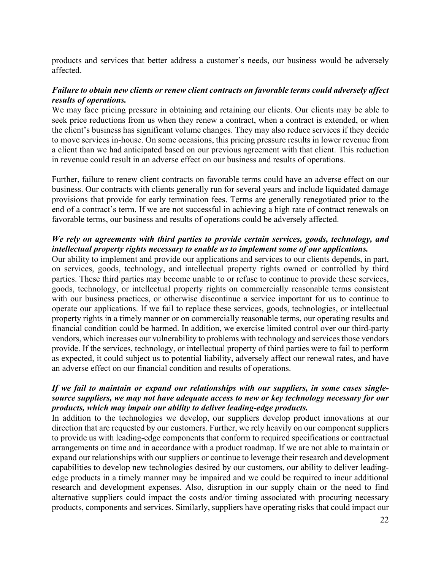products and services that better address a customer's needs, our business would be adversely affected.

# *Failure to obtain new clients or renew client contracts on favorable terms could adversely affect results of operations.*

We may face pricing pressure in obtaining and retaining our clients. Our clients may be able to seek price reductions from us when they renew a contract, when a contract is extended, or when the client's business has significant volume changes. They may also reduce services if they decide to move services in-house. On some occasions, this pricing pressure results in lower revenue from a client than we had anticipated based on our previous agreement with that client. This reduction in revenue could result in an adverse effect on our business and results of operations.

Further, failure to renew client contracts on favorable terms could have an adverse effect on our business. Our contracts with clients generally run for several years and include liquidated damage provisions that provide for early termination fees. Terms are generally renegotiated prior to the end of a contract's term. If we are not successful in achieving a high rate of contract renewals on favorable terms, our business and results of operations could be adversely affected.

### *We rely on agreements with third parties to provide certain services, goods, technology, and intellectual property rights necessary to enable us to implement some of our applications.*

Our ability to implement and provide our applications and services to our clients depends, in part, on services, goods, technology, and intellectual property rights owned or controlled by third parties. These third parties may become unable to or refuse to continue to provide these services, goods, technology, or intellectual property rights on commercially reasonable terms consistent with our business practices, or otherwise discontinue a service important for us to continue to operate our applications. If we fail to replace these services, goods, technologies, or intellectual property rights in a timely manner or on commercially reasonable terms, our operating results and financial condition could be harmed. In addition, we exercise limited control over our third-party vendors, which increases our vulnerability to problems with technology and services those vendors provide. If the services, technology, or intellectual property of third parties were to fail to perform as expected, it could subject us to potential liability, adversely affect our renewal rates, and have an adverse effect on our financial condition and results of operations.

### *If we fail to maintain or expand our relationships with our suppliers, in some cases singlesource suppliers, we may not have adequate access to new or key technology necessary for our products, which may impair our ability to deliver leading-edge products.*

In addition to the technologies we develop, our suppliers develop product innovations at our direction that are requested by our customers. Further, we rely heavily on our component suppliers to provide us with leading-edge components that conform to required specifications or contractual arrangements on time and in accordance with a product roadmap. If we are not able to maintain or expand our relationships with our suppliers or continue to leverage their research and development capabilities to develop new technologies desired by our customers, our ability to deliver leadingedge products in a timely manner may be impaired and we could be required to incur additional research and development expenses. Also, disruption in our supply chain or the need to find alternative suppliers could impact the costs and/or timing associated with procuring necessary products, components and services. Similarly, suppliers have operating risks that could impact our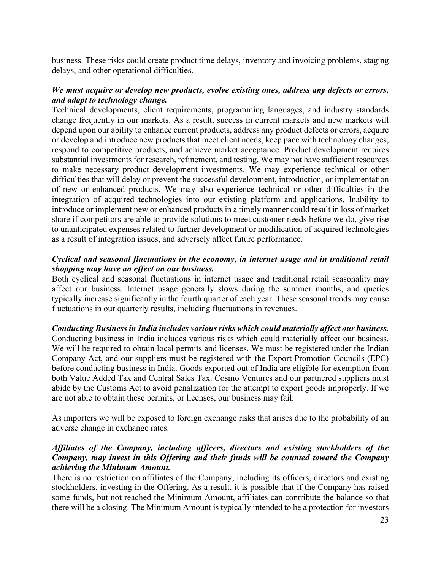business. These risks could create product time delays, inventory and invoicing problems, staging delays, and other operational difficulties.

### *We must acquire or develop new products, evolve existing ones, address any defects or errors, and adapt to technology change.*

Technical developments, client requirements, programming languages, and industry standards change frequently in our markets. As a result, success in current markets and new markets will depend upon our ability to enhance current products, address any product defects or errors, acquire or develop and introduce new products that meet client needs, keep pace with technology changes, respond to competitive products, and achieve market acceptance. Product development requires substantial investments for research, refinement, and testing. We may not have sufficient resources to make necessary product development investments. We may experience technical or other difficulties that will delay or prevent the successful development, introduction, or implementation of new or enhanced products. We may also experience technical or other difficulties in the integration of acquired technologies into our existing platform and applications. Inability to introduce or implement new or enhanced products in a timely manner could result in loss of market share if competitors are able to provide solutions to meet customer needs before we do, give rise to unanticipated expenses related to further development or modification of acquired technologies as a result of integration issues, and adversely affect future performance.

### *Cyclical and seasonal fluctuations in the economy, in internet usage and in traditional retail shopping may have an effect on our business.*

Both cyclical and seasonal fluctuations in internet usage and traditional retail seasonality may affect our business. Internet usage generally slows during the summer months, and queries typically increase significantly in the fourth quarter of each year. These seasonal trends may cause fluctuations in our quarterly results, including fluctuations in revenues.

#### *Conducting Business in India includes various risks which could materially affect our business.*

Conducting business in India includes various risks which could materially affect our business. We will be required to obtain local permits and licenses. We must be registered under the Indian Company Act, and our suppliers must be registered with the Export Promotion Councils (EPC) before conducting business in India. Goods exported out of India are eligible for exemption from both Value Added Tax and Central Sales Tax. Cosmo Ventures and our partnered suppliers must abide by the Customs Act to avoid penalization for the attempt to export goods improperly. If we are not able to obtain these permits, or licenses, our business may fail.

As importers we will be exposed to foreign exchange risks that arises due to the probability of an adverse change in exchange rates.

### *Affiliates of the Company, including officers, directors and existing stockholders of the Company, may invest in this Offering and their funds will be counted toward the Company achieving the Minimum Amount.*

There is no restriction on affiliates of the Company, including its officers, directors and existing stockholders, investing in the Offering. As a result, it is possible that if the Company has raised some funds, but not reached the Minimum Amount, affiliates can contribute the balance so that there will be a closing. The Minimum Amount is typically intended to be a protection for investors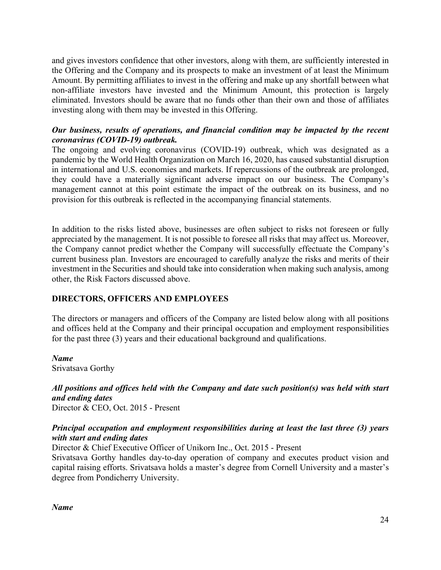and gives investors confidence that other investors, along with them, are sufficiently interested in the Offering and the Company and its prospects to make an investment of at least the Minimum Amount. By permitting affiliates to invest in the offering and make up any shortfall between what non-affiliate investors have invested and the Minimum Amount, this protection is largely eliminated. Investors should be aware that no funds other than their own and those of affiliates investing along with them may be invested in this Offering.

#### *Our business, results of operations, and financial condition may be impacted by the recent coronavirus (COVID-19) outbreak.*

The ongoing and evolving coronavirus (COVID-19) outbreak, which was designated as a pandemic by the World Health Organization on March 16, 2020, has caused substantial disruption in international and U.S. economies and markets. If repercussions of the outbreak are prolonged, they could have a materially significant adverse impact on our business. The Company's management cannot at this point estimate the impact of the outbreak on its business, and no provision for this outbreak is reflected in the accompanying financial statements.

In addition to the risks listed above, businesses are often subject to risks not foreseen or fully appreciated by the management. It is not possible to foresee all risks that may affect us. Moreover, the Company cannot predict whether the Company will successfully effectuate the Company's current business plan. Investors are encouraged to carefully analyze the risks and merits of their investment in the Securities and should take into consideration when making such analysis, among other, the Risk Factors discussed above.

# **DIRECTORS, OFFICERS AND EMPLOYEES**

The directors or managers and officers of the Company are listed below along with all positions and offices held at the Company and their principal occupation and employment responsibilities for the past three (3) years and their educational background and qualifications.

*Name* Srivatsava Gorthy

*All positions and offices held with the Company and date such position(s) was held with start and ending dates* Director & CEO, Oct. 2015 - Present

### *Principal occupation and employment responsibilities during at least the last three (3) years with start and ending dates*

Director & Chief Executive Officer of Unikorn Inc., Oct. 2015 - Present

Srivatsava Gorthy handles day-to-day operation of company and executes product vision and capital raising efforts. Srivatsava holds a master's degree from Cornell University and a master's degree from Pondicherry University.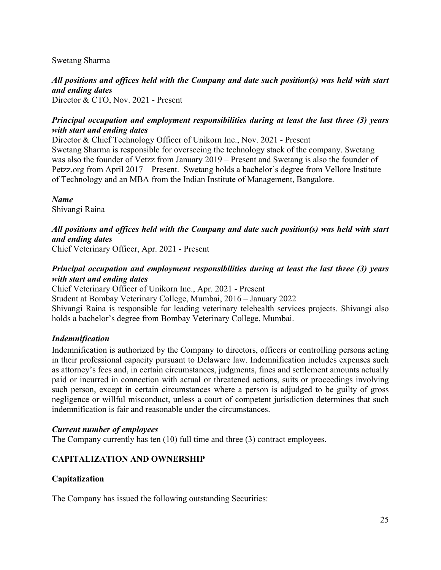Swetang Sharma

*All positions and offices held with the Company and date such position(s) was held with start and ending dates* Director & CTO, Nov. 2021 - Present

### *Principal occupation and employment responsibilities during at least the last three (3) years with start and ending dates*

Director & Chief Technology Officer of Unikorn Inc., Nov. 2021 - Present Swetang Sharma is responsible for overseeing the technology stack of the company. Swetang was also the founder of Vetzz from January 2019 – Present and Swetang is also the founder of Petzz.org from April 2017 – Present. Swetang holds a bachelor's degree from Vellore Institute of Technology and an MBA from the Indian Institute of Management, Bangalore.

*Name* Shivangi Raina

# *All positions and offices held with the Company and date such position(s) was held with start and ending dates*

Chief Veterinary Officer, Apr. 2021 - Present

# *Principal occupation and employment responsibilities during at least the last three (3) years with start and ending dates*

Chief Veterinary Officer of Unikorn Inc., Apr. 2021 - Present Student at Bombay Veterinary College, Mumbai, 2016 – January 2022

Shivangi Raina is responsible for leading veterinary telehealth services projects. Shivangi also holds a bachelor's degree from Bombay Veterinary College, Mumbai.

# *Indemnification*

Indemnification is authorized by the Company to directors, officers or controlling persons acting in their professional capacity pursuant to Delaware law. Indemnification includes expenses such as attorney's fees and, in certain circumstances, judgments, fines and settlement amounts actually paid or incurred in connection with actual or threatened actions, suits or proceedings involving such person, except in certain circumstances where a person is adjudged to be guilty of gross negligence or willful misconduct, unless a court of competent jurisdiction determines that such indemnification is fair and reasonable under the circumstances.

#### *Current number of employees*

The Company currently has ten (10) full time and three (3) contract employees.

# **CAPITALIZATION AND OWNERSHIP**

# **Capitalization**

The Company has issued the following outstanding Securities: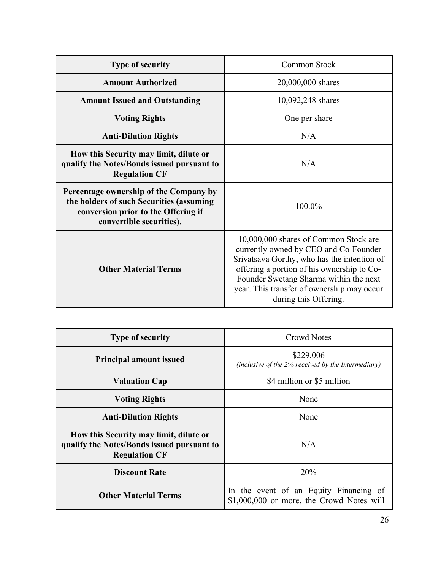| <b>Type of security</b>                                                                                                                               | Common Stock                                                                                                                                                                                                                                                                                 |
|-------------------------------------------------------------------------------------------------------------------------------------------------------|----------------------------------------------------------------------------------------------------------------------------------------------------------------------------------------------------------------------------------------------------------------------------------------------|
| <b>Amount Authorized</b>                                                                                                                              | 20,000,000 shares                                                                                                                                                                                                                                                                            |
| <b>Amount Issued and Outstanding</b>                                                                                                                  | 10,092,248 shares                                                                                                                                                                                                                                                                            |
| <b>Voting Rights</b>                                                                                                                                  | One per share                                                                                                                                                                                                                                                                                |
| <b>Anti-Dilution Rights</b>                                                                                                                           | N/A                                                                                                                                                                                                                                                                                          |
| How this Security may limit, dilute or<br>qualify the Notes/Bonds issued pursuant to<br><b>Regulation CF</b>                                          | N/A                                                                                                                                                                                                                                                                                          |
| Percentage ownership of the Company by<br>the holders of such Securities (assuming<br>conversion prior to the Offering if<br>convertible securities). | 100.0%                                                                                                                                                                                                                                                                                       |
| <b>Other Material Terms</b>                                                                                                                           | 10,000,000 shares of Common Stock are<br>currently owned by CEO and Co-Founder<br>Srivatsava Gorthy, who has the intention of<br>offering a portion of his ownership to Co-<br>Founder Swetang Sharma within the next<br>year. This transfer of ownership may occur<br>during this Offering. |

| <b>Type of security</b>                                                                                      | Crowd Notes                                                                         |
|--------------------------------------------------------------------------------------------------------------|-------------------------------------------------------------------------------------|
| <b>Principal amount issued</b>                                                                               | \$229,006<br>(inclusive of the $2\%$ received by the Intermediary)                  |
| <b>Valuation Cap</b>                                                                                         | \$4 million or \$5 million                                                          |
| <b>Voting Rights</b>                                                                                         | None                                                                                |
| <b>Anti-Dilution Rights</b>                                                                                  | None                                                                                |
| How this Security may limit, dilute or<br>qualify the Notes/Bonds issued pursuant to<br><b>Regulation CF</b> | N/A                                                                                 |
| <b>Discount Rate</b>                                                                                         | 20%                                                                                 |
| <b>Other Material Terms</b>                                                                                  | In the event of an Equity Financing of<br>\$1,000,000 or more, the Crowd Notes will |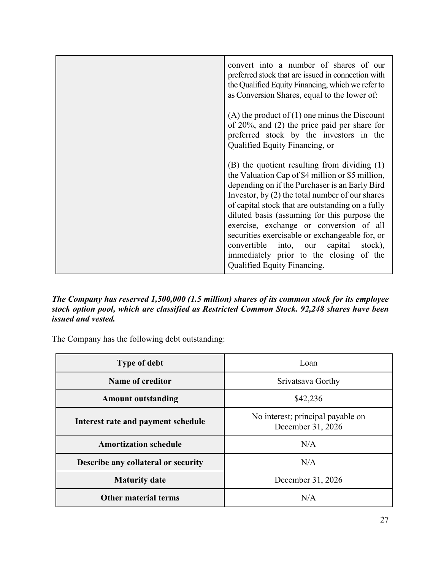| convert into a number of shares of our<br>preferred stock that are issued in connection with<br>the Qualified Equity Financing, which we refer to<br>as Conversion Shares, equal to the lower of:                                                                                                                                                                                                                                                                                                                                |
|----------------------------------------------------------------------------------------------------------------------------------------------------------------------------------------------------------------------------------------------------------------------------------------------------------------------------------------------------------------------------------------------------------------------------------------------------------------------------------------------------------------------------------|
| (A) the product of $(1)$ one minus the Discount<br>of $20\%$ , and $(2)$ the price paid per share for<br>preferred stock by the investors in the<br>Qualified Equity Financing, or                                                                                                                                                                                                                                                                                                                                               |
| $(B)$ the quotient resulting from dividing $(1)$<br>the Valuation Cap of \$4 million or \$5 million,<br>depending on if the Purchaser is an Early Bird<br>Investor, by (2) the total number of our shares<br>of capital stock that are outstanding on a fully<br>diluted basis (assuming for this purpose the<br>exercise, exchange or conversion of all<br>securities exercisable or exchangeable for, or<br>convertible into, our capital<br>stock),<br>immediately prior to the closing of the<br>Qualified Equity Financing. |

# *The Company has reserved 1,500,000 (1.5 million) shares of its common stock for its employee stock option pool, which are classified as Restricted Common Stock. 92,248 shares have been issued and vested.*

The Company has the following debt outstanding:

| <b>Type of debt</b>                   | Loan                                                   |
|---------------------------------------|--------------------------------------------------------|
| Name of creditor                      | Srivatsava Gorthy                                      |
| \$42,236<br><b>Amount outstanding</b> |                                                        |
| Interest rate and payment schedule    | No interest; principal payable on<br>December 31, 2026 |
| <b>Amortization schedule</b>          | N/A                                                    |
| Describe any collateral or security   | N/A                                                    |
| <b>Maturity date</b>                  | December 31, 2026                                      |
| <b>Other material terms</b>           | N/A                                                    |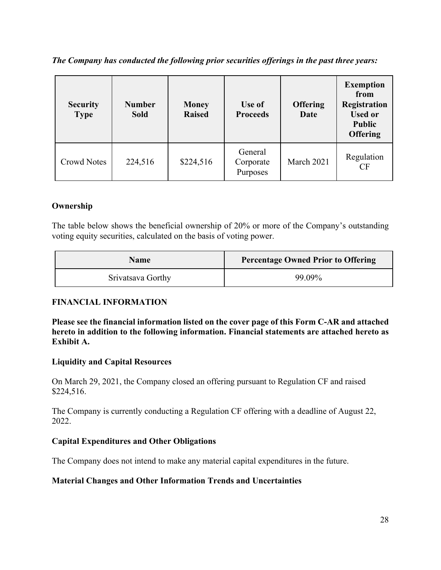*The Company has conducted the following prior securities offerings in the past three years:*

| <b>Security</b><br><b>Type</b> | <b>Number</b><br><b>Sold</b> | <b>Money</b><br><b>Raised</b> | Use of<br><b>Proceeds</b>        | <b>Offering</b><br>Date | <b>Exemption</b><br>from<br>Registration<br><b>Used or</b><br><b>Public</b><br><b>Offering</b> |
|--------------------------------|------------------------------|-------------------------------|----------------------------------|-------------------------|------------------------------------------------------------------------------------------------|
| Crowd Notes                    | 224,516                      | \$224,516                     | General<br>Corporate<br>Purposes | March 2021              | Regulation<br>CF                                                                               |

# **Ownership**

The table below shows the beneficial ownership of 20% or more of the Company's outstanding voting equity securities, calculated on the basis of voting power.

| Name              | <b>Percentage Owned Prior to Offering</b> |
|-------------------|-------------------------------------------|
| Srivatsava Gorthy | 99.09%                                    |

# **FINANCIAL INFORMATION**

**Please see the financial information listed on the cover page of this Form C-AR and attached hereto in addition to the following information. Financial statements are attached hereto as Exhibit A.**

# **Liquidity and Capital Resources**

On March 29, 2021, the Company closed an offering pursuant to Regulation CF and raised \$224,516.

The Company is currently conducting a Regulation CF offering with a deadline of August 22, 2022.

# **Capital Expenditures and Other Obligations**

The Company does not intend to make any material capital expenditures in the future.

# **Material Changes and Other Information Trends and Uncertainties**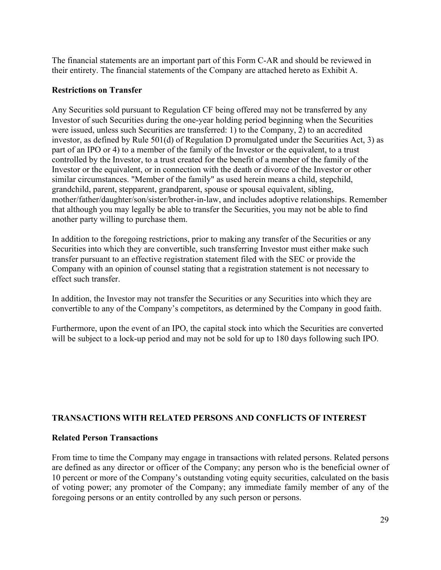The financial statements are an important part of this Form C-AR and should be reviewed in their entirety. The financial statements of the Company are attached hereto as Exhibit A.

#### **Restrictions on Transfer**

Any Securities sold pursuant to Regulation CF being offered may not be transferred by any Investor of such Securities during the one-year holding period beginning when the Securities were issued, unless such Securities are transferred: 1) to the Company, 2) to an accredited investor, as defined by Rule 501(d) of Regulation D promulgated under the Securities Act, 3) as part of an IPO or 4) to a member of the family of the Investor or the equivalent, to a trust controlled by the Investor, to a trust created for the benefit of a member of the family of the Investor or the equivalent, or in connection with the death or divorce of the Investor or other similar circumstances. "Member of the family" as used herein means a child, stepchild, grandchild, parent, stepparent, grandparent, spouse or spousal equivalent, sibling, mother/father/daughter/son/sister/brother-in-law, and includes adoptive relationships. Remember that although you may legally be able to transfer the Securities, you may not be able to find another party willing to purchase them.

In addition to the foregoing restrictions, prior to making any transfer of the Securities or any Securities into which they are convertible, such transferring Investor must either make such transfer pursuant to an effective registration statement filed with the SEC or provide the Company with an opinion of counsel stating that a registration statement is not necessary to effect such transfer.

In addition, the Investor may not transfer the Securities or any Securities into which they are convertible to any of the Company's competitors, as determined by the Company in good faith.

Furthermore, upon the event of an IPO, the capital stock into which the Securities are converted will be subject to a lock-up period and may not be sold for up to 180 days following such IPO.

# **TRANSACTIONS WITH RELATED PERSONS AND CONFLICTS OF INTEREST**

# **Related Person Transactions**

From time to time the Company may engage in transactions with related persons. Related persons are defined as any director or officer of the Company; any person who is the beneficial owner of 10 percent or more of the Company's outstanding voting equity securities, calculated on the basis of voting power; any promoter of the Company; any immediate family member of any of the foregoing persons or an entity controlled by any such person or persons.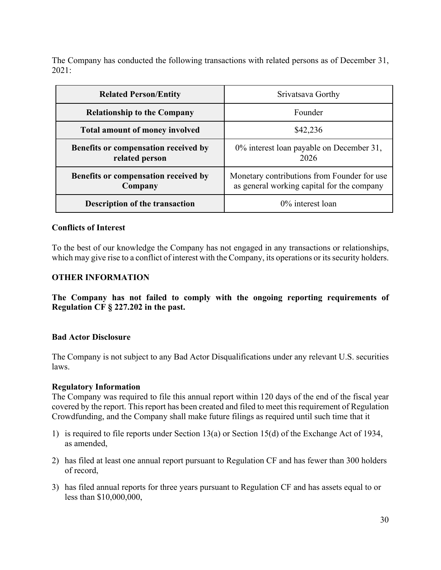The Company has conducted the following transactions with related persons as of December 31, 2021:

| <b>Related Person/Entity</b>                           | Srivatsava Gorthy                                                                         |
|--------------------------------------------------------|-------------------------------------------------------------------------------------------|
| <b>Relationship to the Company</b>                     | Founder                                                                                   |
| <b>Total amount of money involved</b>                  | \$42,236                                                                                  |
| Benefits or compensation received by<br>related person | 0% interest loan payable on December 31,<br>2026                                          |
| Benefits or compensation received by<br>Company        | Monetary contributions from Founder for use<br>as general working capital for the company |
| <b>Description of the transaction</b>                  | $0\%$ interest loan                                                                       |

### **Conflicts of Interest**

To the best of our knowledge the Company has not engaged in any transactions or relationships, which may give rise to a conflict of interest with the Company, its operations or its security holders.

#### **OTHER INFORMATION**

**The Company has not failed to comply with the ongoing reporting requirements of Regulation CF § 227.202 in the past.**

#### **Bad Actor Disclosure**

The Company is not subject to any Bad Actor Disqualifications under any relevant U.S. securities laws.

#### **Regulatory Information**

The Company was required to file this annual report within 120 days of the end of the fiscal year covered by the report. This report has been created and filed to meet this requirement of Regulation Crowdfunding, and the Company shall make future filings as required until such time that it

- 1) is required to file reports under Section 13(a) or Section 15(d) of the Exchange Act of 1934, as amended,
- 2) has filed at least one annual report pursuant to Regulation CF and has fewer than 300 holders of record,
- 3) has filed annual reports for three years pursuant to Regulation CF and has assets equal to or less than \$10,000,000,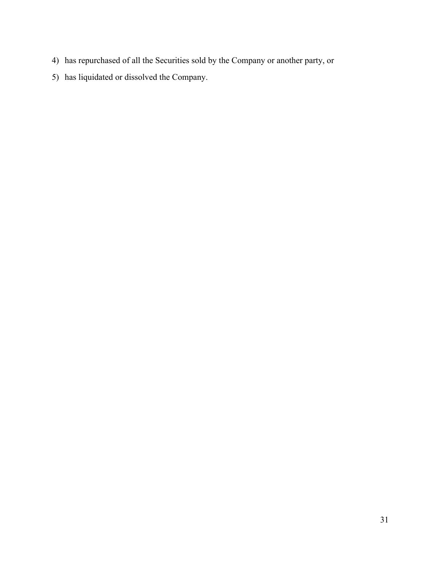- 4) has repurchased of all the Securities sold by the Company or another party, or
- 5) has liquidated or dissolved the Company.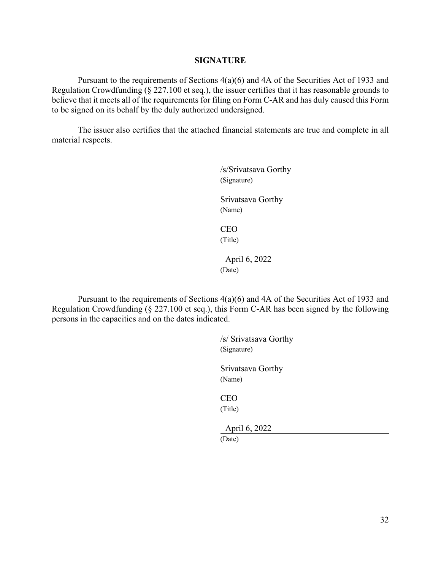#### **SIGNATURE**

Pursuant to the requirements of Sections 4(a)(6) and 4A of the Securities Act of 1933 and Regulation Crowdfunding (§ 227.100 et seq.), the issuer certifies that it has reasonable grounds to believe that it meets all of the requirements for filing on Form C-AR and has duly caused this Form to be signed on its behalf by the duly authorized undersigned.

The issuer also certifies that the attached financial statements are true and complete in all material respects.

| /s/Srivatsava Gorthy<br>(Signature) |
|-------------------------------------|
| Srivatsava Gorthy<br>(Name)         |
| CEO<br>(Title)                      |
| April 6, 2022<br>(Date)             |

Pursuant to the requirements of Sections 4(a)(6) and 4A of the Securities Act of 1933 and Regulation Crowdfunding (§ 227.100 et seq.), this Form C-AR has been signed by the following persons in the capacities and on the dates indicated.

> /s/ Srivatsava Gorthy (Signature) Srivatsava Gorthy (Name) CEO (Title) April 6, 2022 (Date)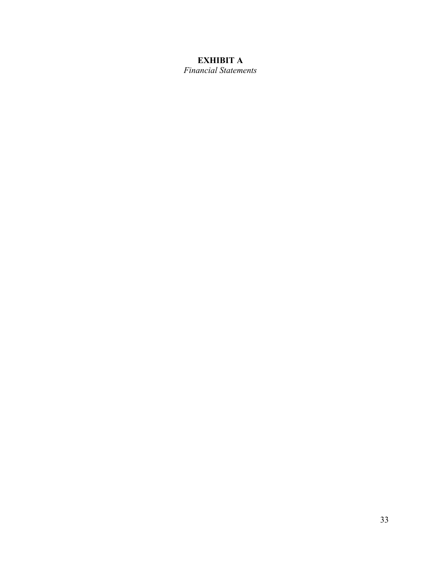# **EXHIBIT A**

*Financial Statements*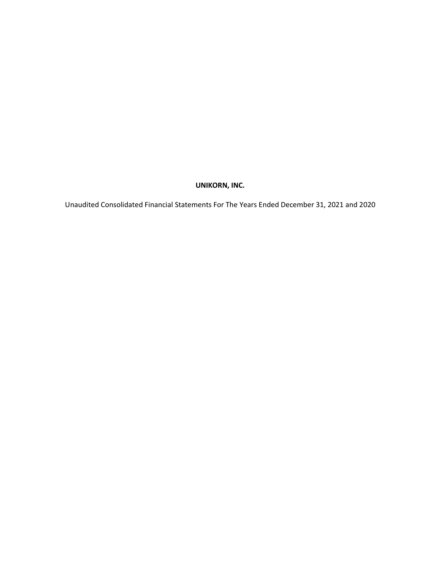# **UNIKORN, INC.**

Unaudited Consolidated Financial Statements For The Years Ended December 31, 2021 and 2020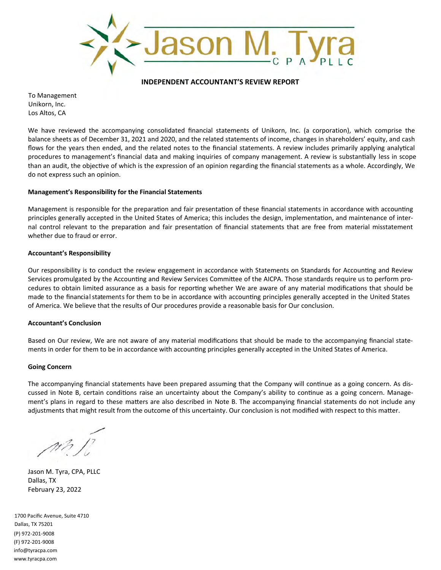

#### **INDEPENDENT ACCOUNTANT'S REVIEW REPORT**

To Management Unikorn, Inc. Los Altos, CA

We have reviewed the accompanying consolidated financial statements of Unikorn, Inc. (a corporation), which comprise the balance sheets as of December 31, 2021 and 2020, and the related statements of income, changes in shareholders' equity, and cash flows for the years then ended, and the related notes to the financial statements. A review includes primarily applying analytical procedures to management's financial data and making inquiries of company management. A review is substantially less in scope than an audit, the objective of which is the expression of an opinion regarding the financial statements as a whole. Accordingly, We do not express such an opinion.

#### **Management's Responsibility for the Financial Statements**

Management is responsible for the preparation and fair presentation of these financial statements in accordance with accounting principles generally accepted in the United States of America; this includes the design, implementation, and maintenance of internal control relevant to the preparation and fair presentation of financial statements that are free from material misstatement whether due to fraud or error.

#### **Accountant's Responsibility**

Our responsibility is to conduct the review engagement in accordance with Statements on Standards for Accounting and Review Services promulgated by the Accounting and Review Services Committee of the AICPA. Those standards require us to perform procedures to obtain limited assurance as a basis for reporting whether We are aware of any material modifications that should be made to the financial statements for them to be in accordance with accounting principles generally accepted in the United States of America. We believe that the results of Our procedures provide a reasonable basis for Our conclusion.

#### **Accountant's Conclusion**

Based on Our review, We are not aware of any material modifications that should be made to the accompanying financial statements in order for them to be in accordance with accounting principles generally accepted in the United States of America.

#### **Going Concern**

The accompanying financial statements have been prepared assuming that the Company will continue as a going concern. As discussed in Note B, certain conditions raise an uncertainty about the Company's ability to continue as a going concern. Management's plans in regard to these matters are also described in Note B. The accompanying financial statements do not include any adjustments that might result from the outcome of this uncertainty. Our conclusion is not modified with respect to this matter.

Jason M. Tyra, CPA, PLLC Dallas, TX February 23, 2022

1700 Pacific Avenue, Suite 4710 Dallas, TX 75201 (P) 972‐201‐9008 (F) 972‐201‐9008 info@tyracpa.com www.tyracpa.com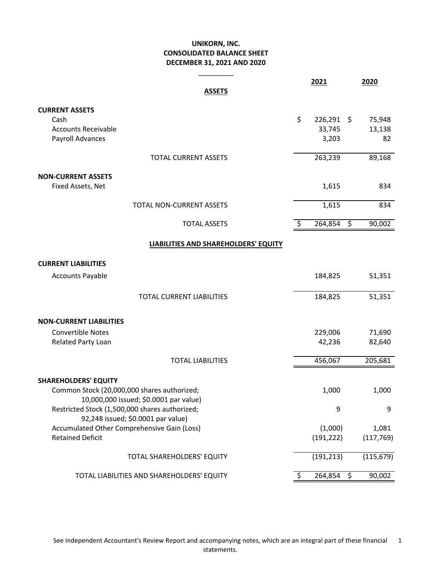#### **UNIKORN, INC. CONSOLIDATED BALANCE SHEET DECEMBER 31, 2021 AND 2020**

\_\_\_\_\_\_\_\_\_

|                                                                            | 2021               |                        | 2020       |
|----------------------------------------------------------------------------|--------------------|------------------------|------------|
| <b>ASSETS</b>                                                              |                    |                        |            |
| <b>CURRENT ASSETS</b>                                                      |                    |                        |            |
| Cash                                                                       | \$<br>$226,291$ \$ |                        | 75,948     |
| <b>Accounts Receivable</b>                                                 | 33,745             |                        | 13,138     |
| Payroll Advances                                                           | 3,203              |                        | 82         |
|                                                                            |                    |                        |            |
| <b>TOTAL CURRENT ASSETS</b>                                                | 263,239            |                        | 89,168     |
| <b>NON-CURRENT ASSETS</b>                                                  |                    |                        |            |
| Fixed Assets, Net                                                          | 1,615              |                        | 834        |
|                                                                            |                    |                        |            |
| TOTAL NON-CURRENT ASSETS                                                   | 1,615              |                        | 834        |
|                                                                            |                    |                        |            |
| <b>TOTAL ASSETS</b>                                                        | \$<br>264,854      | $\overline{\varsigma}$ | 90,002     |
| LIABILITIES AND SHAREHOLDERS' EQUITY                                       |                    |                        |            |
|                                                                            |                    |                        |            |
| <b>CURRENT LIABILITIES</b>                                                 |                    |                        |            |
| <b>Accounts Payable</b>                                                    | 184,825            |                        | 51,351     |
| <b>TOTAL CURRENT LIABILITIES</b>                                           | 184,825            |                        | 51,351     |
| <b>NON-CURRENT LIABILITIES</b>                                             |                    |                        |            |
| Convertible Notes                                                          | 229,006            |                        | 71,690     |
| Related Party Loan                                                         | 42,236             |                        | 82,640     |
|                                                                            |                    |                        |            |
| <b>TOTAL LIABILITIES</b>                                                   | 456,067            |                        | 205,681    |
|                                                                            |                    |                        |            |
| <b>SHAREHOLDERS' EQUITY</b><br>Common Stock (20,000,000 shares authorized; | 1,000              |                        | 1,000      |
| 10,000,000 issued; \$0.0001 par value)                                     |                    |                        |            |
| Restricted Stock (1,500,000 shares authorized;                             | 9                  |                        | 9          |
| 92,248 issued; \$0.0001 par value)                                         |                    |                        |            |
| Accumulated Other Comprehensive Gain (Loss)                                | (1,000)            |                        | 1,081      |
| <b>Retained Deficit</b>                                                    | (191, 222)         |                        | (117, 769) |
| TOTAL SHAREHOLDERS' EQUITY                                                 | (191, 213)         |                        | (115, 679) |
|                                                                            |                    |                        |            |
| TOTAL LIABILITIES AND SHAREHOLDERS' EQUITY                                 | \$<br>264,854      | \$                     | 90,002     |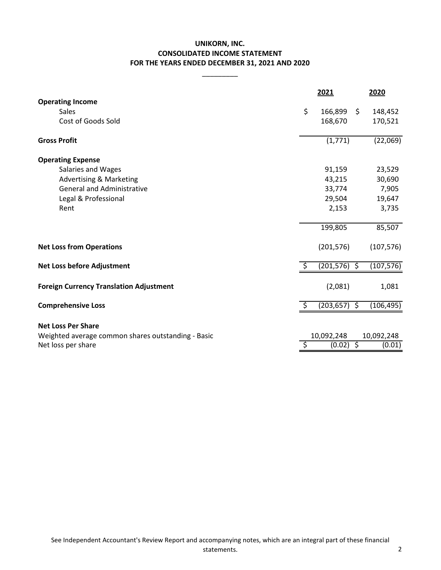#### **UNIKORN, INC. CONSOLIDATED INCOME STATEMENT FOR THE YEARS ENDED DECEMBER 31, 2021 AND 2020**

\_\_\_\_\_\_\_\_\_

|                                    | 2021                | 2020     |
|------------------------------------|---------------------|----------|
| <b>Operating Income</b>            |                     |          |
| Sales                              | \$<br>166,899<br>\$ | 148,452  |
| Cost of Goods Sold                 | 168,670             | 170,521  |
| <b>Gross Profit</b>                | (1,771)             | (22,069) |
| <b>Operating Expense</b>           |                     |          |
| Salaries and Wages                 | 91,159              | 23,529   |
| <b>Advertising &amp; Marketing</b> | 43,215              | 30,690   |
| <b>General and Administrative</b>  | 33,774              | 7,905    |
| Legal & Professional               | 29,504              | 19,647   |
| Rent                               | 2,153               | 3,735    |
|                                    | 199,805             | 85,507   |
|                                    |                     |          |

|                                                    |            |   | $\overline{\phantom{a}}$ |
|----------------------------------------------------|------------|---|--------------------------|
| <b>Net Loss before Adjustment</b>                  | (201, 576) | ↘ | (107, 576)               |
| <b>Foreign Currency Translation Adjustment</b>     | (2,081)    |   | 1,081                    |
| <b>Comprehensive Loss</b>                          | (203, 657) |   | (106, 495)               |
| <b>Net Loss Per Share</b>                          |            |   |                          |
| Weighted average common shares outstanding - Basic | 10,092,248 |   | 10,092,248               |
| Net loss per share                                 | (0.02)     |   | (0.01)                   |

**Net Loss from Operations** (201,576) (107,576)

**2021 2020**

85,507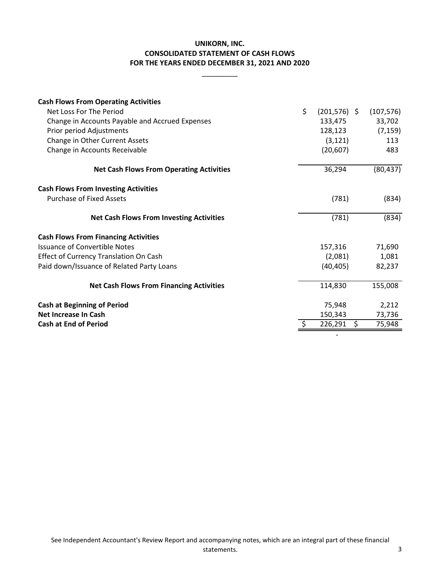#### **FOR THE YEARS ENDED DECEMBER 31, 2021 AND 2020 CONSOLIDATED STATEMENT OF CASH FLOWS UNIKORN, INC.**

\_\_\_\_\_\_\_\_\_

| <b>Cash Flows From Operating Activities</b>     |                       |     |            |
|-------------------------------------------------|-----------------------|-----|------------|
| Net Loss For The Period                         | \$<br>$(201, 576)$ \$ |     | (107, 576) |
| Change in Accounts Payable and Accrued Expenses | 133,475               |     | 33,702     |
| Prior period Adjustments                        | 128,123               |     | (7, 159)   |
| Change in Other Current Assets                  | (3, 121)              |     | 113        |
| Change in Accounts Receivable                   | (20, 607)             |     | 483        |
| <b>Net Cash Flows From Operating Activities</b> | 36,294                |     | (80, 437)  |
| <b>Cash Flows From Investing Activities</b>     |                       |     |            |
| <b>Purchase of Fixed Assets</b>                 | (781)                 |     | (834)      |
| <b>Net Cash Flows From Investing Activities</b> | (781)                 |     | (834)      |
| <b>Cash Flows From Financing Activities</b>     |                       |     |            |
| <b>Issuance of Convertible Notes</b>            | 157,316               |     | 71,690     |
| <b>Effect of Currency Translation On Cash</b>   | (2,081)               |     | 1,081      |
| Paid down/Issuance of Related Party Loans       | (40, 405)             |     | 82,237     |
| <b>Net Cash Flows From Financing Activities</b> | 114,830               |     | 155,008    |
| <b>Cash at Beginning of Period</b>              | 75,948                |     | 2,212      |
| Net Increase In Cash                            | 150,343               |     | 73,736     |
| <b>Cash at End of Period</b>                    | 226,291               | \$. | 75,948     |
|                                                 |                       |     |            |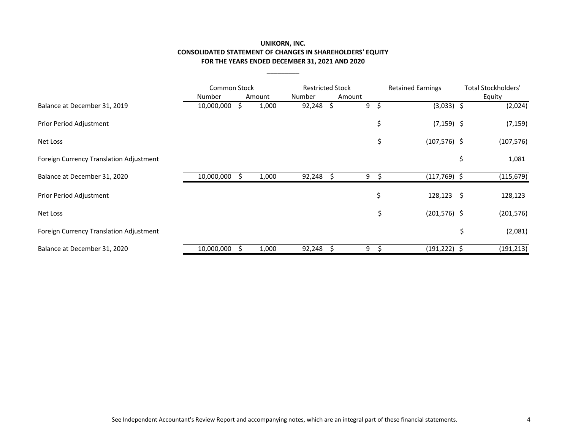#### **UNIKORN, INC. CONSOLIDATED STATEMENT OF CHANGES IN SHAREHOLDERS' EQUITY FOR THE YEARS ENDED DECEMBER 31, 2021 AND 2020**

 $\overline{\phantom{a}}$ 

|                                         | <b>Common Stock</b> |        | <b>Restricted Stock</b> |         |     | <b>Retained Earnings</b> | <b>Total Stockholders'</b> |
|-----------------------------------------|---------------------|--------|-------------------------|---------|-----|--------------------------|----------------------------|
|                                         | Number              | Amount | Number                  | Amount  |     |                          | Equity                     |
| Balance at December 31, 2019            | 10,000,000          | 1,000  | 92,248                  | \$<br>9 | \$. | $(3,033)$ \$             | (2,024)                    |
| Prior Period Adjustment                 |                     |        |                         |         | \$  | $(7, 159)$ \$            | (7, 159)                   |
| Net Loss                                |                     |        |                         |         | \$  | $(107, 576)$ \$          | (107, 576)                 |
| Foreign Currency Translation Adjustment |                     |        |                         |         |     |                          | \$<br>1,081                |
| Balance at December 31, 2020            | 10,000,000          | 1,000  | 92,248                  | 9       | Ŝ.  | $(117,769)$ \$           | (115, 679)                 |
| Prior Period Adjustment                 |                     |        |                         |         | \$  | $128,123$ \$             | 128,123                    |
| Net Loss                                |                     |        |                         |         | \$  | $(201, 576)$ \$          | (201, 576)                 |
| Foreign Currency Translation Adjustment |                     |        |                         |         |     |                          | \$<br>(2,081)              |
| Balance at December 31, 2020            | 10,000,000          | 1,000  | 92,248                  | 9       | э   | $(191, 222)$ \$          | (191, 213)                 |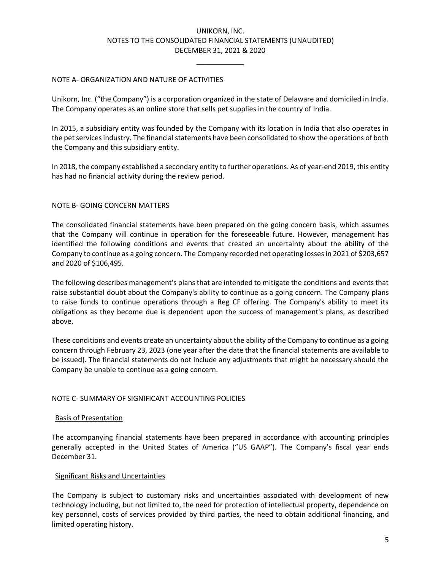#### UNIKORN, INC. NOTES TO THE CONSOLIDATED FINANCIAL STATEMENTS (UNAUDITED) DECEMBER 31, 2021 & 2020

 $\frac{1}{2}$  ,  $\frac{1}{2}$  ,  $\frac{1}{2}$  ,  $\frac{1}{2}$  ,  $\frac{1}{2}$  ,  $\frac{1}{2}$  ,  $\frac{1}{2}$ 

#### NOTE A- ORGANIZATION AND NATURE OF ACTIVITIES

Unikorn, Inc. ("the Company") is a corporation organized in the state of Delaware and domiciled in India. The Company operates as an online store that sells pet supplies in the country of India.

In 2015, a subsidiary entity was founded by the Company with its location in India that also operates in the pet servicesindustry. The financial statements have been consolidated to show the operations of both the Company and this subsidiary entity.

In 2018, the company established a secondary entity to further operations. As of year-end 2019, this entity has had no financial activity during the review period.

#### NOTE B- GOING CONCERN MATTERS

The consolidated financial statements have been prepared on the going concern basis, which assumes that the Company will continue in operation for the foreseeable future. However, management has identified the following conditions and events that created an uncertainty about the ability of the Company to continue as a going concern. The Company recorded net operating losses in 2021 of \$203,657 and 2020 of \$106,495.

The following describes management's plans that are intended to mitigate the conditions and events that raise substantial doubt about the Company's ability to continue as a going concern. The Company plans to raise funds to continue operations through a Reg CF offering. The Company's ability to meet its obligations as they become due is dependent upon the success of management's plans, as described above.

These conditions and events create an uncertainty about the ability of the Company to continue as a going concern through February 23, 2023 (one year after the date that the financial statements are available to be issued). The financial statements do not include any adjustments that might be necessary should the Company be unable to continue as a going concern.

#### NOTE C- SUMMARY OF SIGNIFICANT ACCOUNTING POLICIES

#### Basis of Presentation

The accompanying financial statements have been prepared in accordance with accounting principles generally accepted in the United States of America ("US GAAP"). The Company's fiscal year ends December 31.

#### Significant Risks and Uncertainties

The Company is subject to customary risks and uncertainties associated with development of new technology including, but not limited to, the need for protection of intellectual property, dependence on key personnel, costs of services provided by third parties, the need to obtain additional financing, and limited operating history.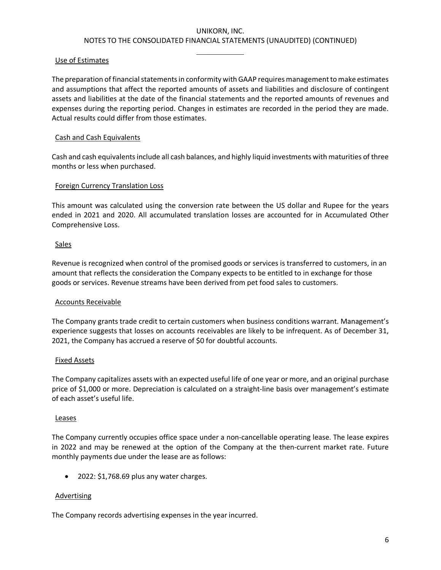#### Use of Estimates

The preparation of financial statements in conformity with GAAP requires management to make estimates and assumptions that affect the reported amounts of assets and liabilities and disclosure of contingent assets and liabilities at the date of the financial statements and the reported amounts of revenues and expenses during the reporting period. Changes in estimates are recorded in the period they are made. Actual results could differ from those estimates.

#### Cash and Cash Equivalents

Cash and cash equivalents include all cash balances, and highly liquid investments with maturities of three months or less when purchased.

#### Foreign Currency Translation Loss

This amount was calculated using the conversion rate between the US dollar and Rupee for the years ended in 2021 and 2020. All accumulated translation losses are accounted for in Accumulated Other Comprehensive Loss.

#### **Sales**

Revenue is recognized when control of the promised goods or services is transferred to customers, in an amount that reflects the consideration the Company expects to be entitled to in exchange for those goods or services. Revenue streams have been derived from pet food sales to customers.

#### Accounts Receivable

The Company grants trade credit to certain customers when business conditions warrant. Management's experience suggests that losses on accounts receivables are likely to be infrequent. As of December 31, 2021, the Company has accrued a reserve of \$0 for doubtful accounts.

#### Fixed Assets

The Company capitalizes assets with an expected useful life of one year or more, and an original purchase price of \$1,000 or more. Depreciation is calculated on a straight-line basis over management's estimate of each asset's useful life.

#### Leases

The Company currently occupies office space under a non-cancellable operating lease. The lease expires in 2022 and may be renewed at the option of the Company at the then-current market rate. Future monthly payments due under the lease are as follows:

• 2022: \$1,768.69 plus any water charges.

#### Advertising

The Company records advertising expenses in the year incurred.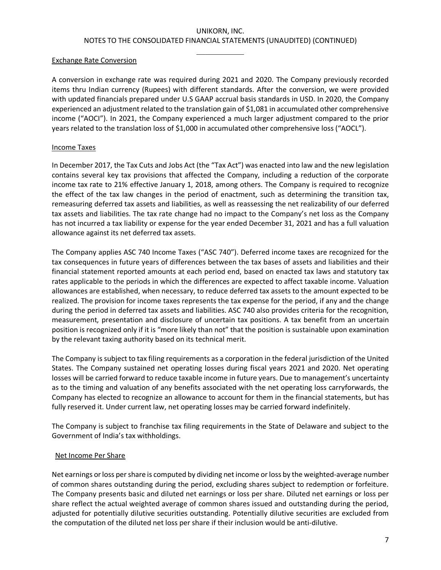#### Exchange Rate Conversion

A conversion in exchange rate was required during 2021 and 2020. The Company previously recorded items thru Indian currency (Rupees) with different standards. After the conversion, we were provided with updated financials prepared under U.S GAAP accrual basis standards in USD. In 2020, the Company experienced an adjustment related to the translation gain of \$1,081 in accumulated other comprehensive income ("AOCI"). In 2021, the Company experienced a much larger adjustment compared to the prior years related to the translation loss of \$1,000 in accumulated other comprehensive loss ("AOCL").

#### Income Taxes

In December 2017, the Tax Cuts and Jobs Act (the "Tax Act") was enacted into law and the new legislation contains several key tax provisions that affected the Company, including a reduction of the corporate income tax rate to 21% effective January 1, 2018, among others. The Company is required to recognize the effect of the tax law changes in the period of enactment, such as determining the transition tax, remeasuring deferred tax assets and liabilities, as well as reassessing the net realizability of our deferred tax assets and liabilities. The tax rate change had no impact to the Company's net loss as the Company has not incurred a tax liability or expense for the year ended December 31, 2021 and has a full valuation allowance against its net deferred tax assets.

The Company applies ASC 740 Income Taxes ("ASC 740"). Deferred income taxes are recognized for the tax consequences in future years of differences between the tax bases of assets and liabilities and their financial statement reported amounts at each period end, based on enacted tax laws and statutory tax rates applicable to the periods in which the differences are expected to affect taxable income. Valuation allowances are established, when necessary, to reduce deferred tax assets to the amount expected to be realized. The provision for income taxes represents the tax expense for the period, if any and the change during the period in deferred tax assets and liabilities. ASC 740 also provides criteria for the recognition, measurement, presentation and disclosure of uncertain tax positions. A tax benefit from an uncertain position is recognized only if it is "more likely than not" that the position is sustainable upon examination by the relevant taxing authority based on its technical merit.

The Company is subject to tax filing requirements as a corporation in the federal jurisdiction of the United States. The Company sustained net operating losses during fiscal years 2021 and 2020. Net operating losses will be carried forward to reduce taxable income in future years. Due to management's uncertainty as to the timing and valuation of any benefits associated with the net operating loss carryforwards, the Company has elected to recognize an allowance to account for them in the financial statements, but has fully reserved it. Under current law, net operating losses may be carried forward indefinitely.

The Company is subject to franchise tax filing requirements in the State of Delaware and subject to the Government of India's tax withholdings.

#### Net Income Per Share

Net earnings or loss per share is computed by dividing net income or loss by the weighted-average number of common shares outstanding during the period, excluding shares subject to redemption or forfeiture. The Company presents basic and diluted net earnings or loss per share. Diluted net earnings or loss per share reflect the actual weighted average of common shares issued and outstanding during the period, adjusted for potentially dilutive securities outstanding. Potentially dilutive securities are excluded from the computation of the diluted net loss per share if their inclusion would be anti-dilutive.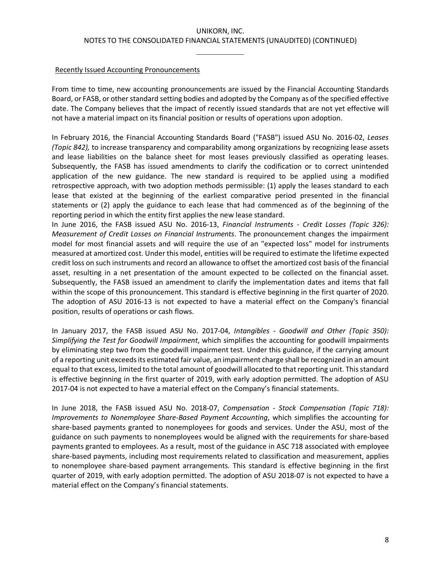#### Recently Issued Accounting Pronouncements

From time to time, new accounting pronouncements are issued by the Financial Accounting Standards Board, or FASB, or other standard setting bodies and adopted by the Company as of the specified effective date. The Company believes that the impact of recently issued standards that are not yet effective will not have a material impact on its financial position or results of operations upon adoption.

In February 2016, the Financial Accounting Standards Board ("FASB") issued ASU No. 2016-02, *Leases (Topic 842),* to increase transparency and comparability among organizations by recognizing lease assets and lease liabilities on the balance sheet for most leases previously classified as operating leases. Subsequently, the FASB has issued amendments to clarify the codification or to correct unintended application of the new guidance. The new standard is required to be applied using a modified retrospective approach, with two adoption methods permissible: (1) apply the leases standard to each lease that existed at the beginning of the earliest comparative period presented in the financial statements or (2) apply the guidance to each lease that had commenced as of the beginning of the reporting period in which the entity first applies the new lease standard.

In June 2016, the FASB issued ASU No. 2016-13, *Financial Instruments - Credit Losses (Topic 326): Measurement of Credit Losses on Financial Instruments*. The pronouncement changes the impairment model for most financial assets and will require the use of an "expected loss" model for instruments measured at amortized cost. Under this model, entities will be required to estimate the lifetime expected credit loss on such instruments and record an allowance to offset the amortized cost basis of the financial asset, resulting in a net presentation of the amount expected to be collected on the financial asset. Subsequently, the FASB issued an amendment to clarify the implementation dates and items that fall within the scope of this pronouncement. This standard is effective beginning in the first quarter of 2020. The adoption of ASU 2016-13 is not expected to have a material effect on the Company's financial position, results of operations or cash flows.

In January 2017, the FASB issued ASU No. 2017-04, *Intangibles - Goodwill and Other (Topic 350): Simplifying the Test for Goodwill Impairment*, which simplifies the accounting for goodwill impairments by eliminating step two from the goodwill impairment test. Under this guidance, if the carrying amount of a reporting unit exceeds its estimated fair value, an impairment charge shall be recognized in an amount equal to that excess, limited to the total amount of goodwill allocated to that reporting unit. This standard is effective beginning in the first quarter of 2019, with early adoption permitted. The adoption of ASU 2017-04 is not expected to have a material effect on the Company's financial statements.

In June 2018, the FASB issued ASU No. 2018-07, *Compensation - Stock Compensation (Topic 718): Improvements to Nonemployee Share-Based Payment Accounting*, which simplifies the accounting for share-based payments granted to nonemployees for goods and services. Under the ASU, most of the guidance on such payments to nonemployees would be aligned with the requirements for share-based payments granted to employees. As a result, most of the guidance in ASC 718 associated with employee share-based payments, including most requirements related to classification and measurement, applies to nonemployee share-based payment arrangements. This standard is effective beginning in the first quarter of 2019, with early adoption permitted. The adoption of ASU 2018-07 is not expected to have a material effect on the Company's financial statements.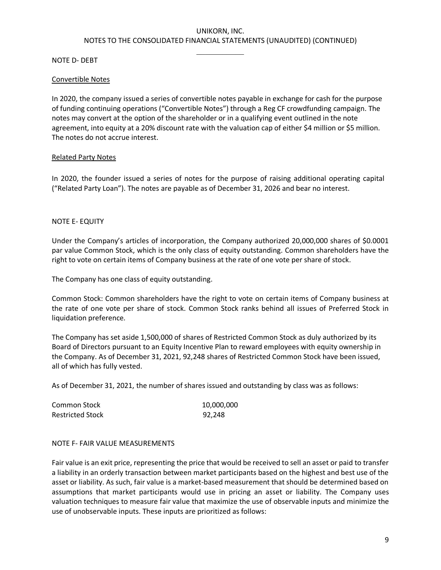#### NOTE D- DEBT

#### Convertible Notes

In 2020, the company issued a series of convertible notes payable in exchange for cash for the purpose of funding continuing operations ("Convertible Notes") through a Reg CF crowdfunding campaign. The notes may convert at the option of the shareholder or in a qualifying event outlined in the note agreement, into equity at a 20% discount rate with the valuation cap of either \$4 million or \$5 million. The notes do not accrue interest.

#### Related Party Notes

In 2020, the founder issued a series of notes for the purpose of raising additional operating capital ("Related Party Loan"). The notes are payable as of December 31, 2026 and bear no interest.

#### NOTE E- EQUITY

Under the Company's articles of incorporation, the Company authorized 20,000,000 shares of \$0.0001 par value Common Stock, which is the only class of equity outstanding. Common shareholders have the right to vote on certain items of Company business at the rate of one vote per share of stock.

The Company has one class of equity outstanding.

Common Stock: Common shareholders have the right to vote on certain items of Company business at the rate of one vote per share of stock. Common Stock ranks behind all issues of Preferred Stock in liquidation preference.

The Company has set aside 1,500,000 of shares of Restricted Common Stock as duly authorized by its Board of Directors pursuant to an Equity Incentive Plan to reward employees with equity ownership in the Company. As of December 31, 2021, 92,248 shares of Restricted Common Stock have been issued, all of which has fully vested.

As of December 31, 2021, the number of shares issued and outstanding by class was as follows:

| Common Stock            | 10,000,000 |
|-------------------------|------------|
| <b>Restricted Stock</b> | 92.248     |

#### NOTE F- FAIR VALUE MEASUREMENTS

Fair value is an exit price, representing the price that would be received to sell an asset or paid to transfer a liability in an orderly transaction between market participants based on the highest and best use of the asset or liability. As such, fair value is a market-based measurement that should be determined based on assumptions that market participants would use in pricing an asset or liability. The Company uses valuation techniques to measure fair value that maximize the use of observable inputs and minimize the use of unobservable inputs. These inputs are prioritized as follows: